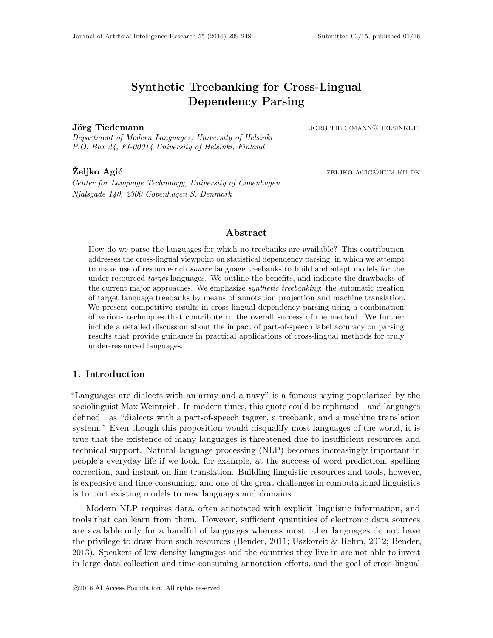# Synthetic Treebanking for Cross-Lingual Dependency Parsing

Department of Modern Languages, University of Helsinki P.O. Box 24, FI-00014 University of Helsinki, Finland

Center for Language Technology, University of Copenhagen Njalsgade 140, 2300 Copenhagen S, Denmark

Jörg Tiedemann in iholande maar van de gebouwen van de gebouwen van de gebouwen van de gebouwen van de gebouwe

 $\mathbf{\tilde{Z}eliko\ \textbf{Agi}\acute{c}}$   $\qquad \qquad \textbf{ZELJKO.AGIC@HUM.KU.DK}$ 

# Abstract

How do we parse the languages for which no treebanks are available? This contribution addresses the cross-lingual viewpoint on statistical dependency parsing, in which we attempt to make use of resource-rich source language treebanks to build and adapt models for the under-resourced *target* languages. We outline the benefits, and indicate the drawbacks of the current major approaches. We emphasize synthetic treebanking: the automatic creation of target language treebanks by means of annotation projection and machine translation. We present competitive results in cross-lingual dependency parsing using a combination of various techniques that contribute to the overall success of the method. We further include a detailed discussion about the impact of part-of-speech label accuracy on parsing results that provide guidance in practical applications of cross-lingual methods for truly under-resourced languages.

# 1. Introduction

"Languages are dialects with an army and a navy" is a famous saying popularized by the sociolinguist Max Weinreich. In modern times, this quote could be rephrased—and languages defined—as "dialects with a part-of-speech tagger, a treebank, and a machine translation system." Even though this proposition would disqualify most languages of the world, it is true that the existence of many languages is threatened due to insufficient resources and technical support. Natural language processing (NLP) becomes increasingly important in people's everyday life if we look, for example, at the success of word prediction, spelling correction, and instant on-line translation. Building linguistic resources and tools, however, is expensive and time-consuming, and one of the great challenges in computational linguistics is to port existing models to new languages and domains.

Modern NLP requires data, often annotated with explicit linguistic information, and tools that can learn from them. However, sufficient quantities of electronic data sources are available only for a handful of languages whereas most other languages do not have the privilege to draw from such resources (Bender, 2011; Uszkoreit & Rehm, 2012; Bender, 2013). Speakers of low-density languages and the countries they live in are not able to invest in large data collection and time-consuming annotation efforts, and the goal of cross-lingual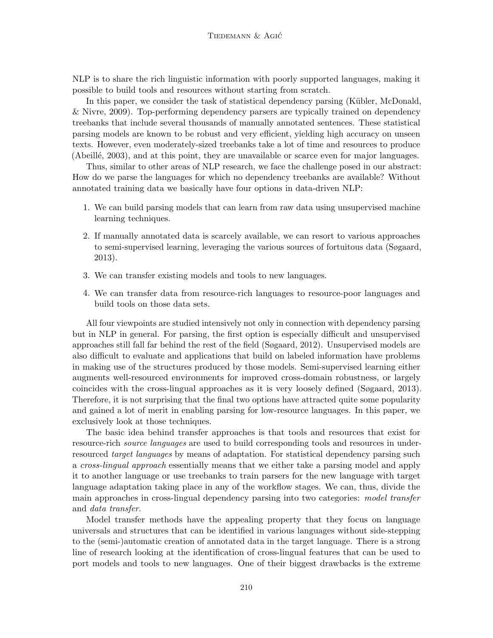NLP is to share the rich linguistic information with poorly supported languages, making it possible to build tools and resources without starting from scratch.

In this paper, we consider the task of statistical dependency parsing (Kübler, McDonald, & Nivre, 2009). Top-performing dependency parsers are typically trained on dependency treebanks that include several thousands of manually annotated sentences. These statistical parsing models are known to be robust and very efficient, yielding high accuracy on unseen texts. However, even moderately-sized treebanks take a lot of time and resources to produce (Abeillé, 2003), and at this point, they are unavailable or scarce even for major languages.

Thus, similar to other areas of NLP research, we face the challenge posed in our abstract: How do we parse the languages for which no dependency treebanks are available? Without annotated training data we basically have four options in data-driven NLP:

- 1. We can build parsing models that can learn from raw data using unsupervised machine learning techniques.
- 2. If manually annotated data is scarcely available, we can resort to various approaches to semi-supervised learning, leveraging the various sources of fortuitous data (Søgaard, 2013).
- 3. We can transfer existing models and tools to new languages.
- 4. We can transfer data from resource-rich languages to resource-poor languages and build tools on those data sets.

All four viewpoints are studied intensively not only in connection with dependency parsing but in NLP in general. For parsing, the first option is especially difficult and unsupervised approaches still fall far behind the rest of the field (Søgaard, 2012). Unsupervised models are also difficult to evaluate and applications that build on labeled information have problems in making use of the structures produced by those models. Semi-supervised learning either augments well-resourced environments for improved cross-domain robustness, or largely coincides with the cross-lingual approaches as it is very loosely defined (Søgaard, 2013). Therefore, it is not surprising that the final two options have attracted quite some popularity and gained a lot of merit in enabling parsing for low-resource languages. In this paper, we exclusively look at those techniques.

The basic idea behind transfer approaches is that tools and resources that exist for resource-rich source languages are used to build corresponding tools and resources in underresourced *target languages* by means of adaptation. For statistical dependency parsing such a cross-lingual approach essentially means that we either take a parsing model and apply it to another language or use treebanks to train parsers for the new language with target language adaptation taking place in any of the workflow stages. We can, thus, divide the main approaches in cross-lingual dependency parsing into two categories: model transfer and data transfer.

Model transfer methods have the appealing property that they focus on language universals and structures that can be identified in various languages without side-stepping to the (semi-)automatic creation of annotated data in the target language. There is a strong line of research looking at the identification of cross-lingual features that can be used to port models and tools to new languages. One of their biggest drawbacks is the extreme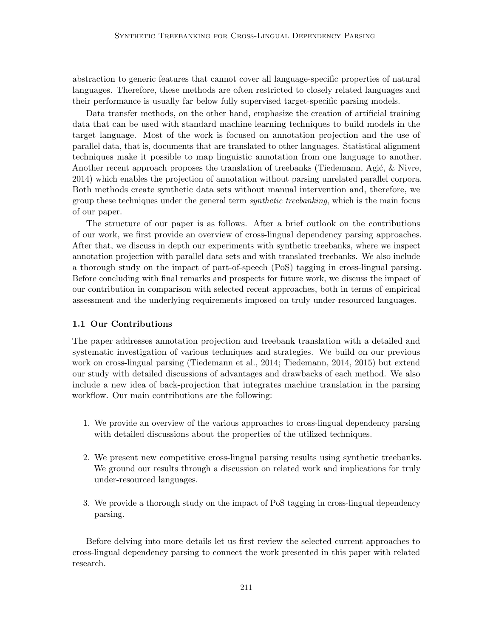abstraction to generic features that cannot cover all language-specific properties of natural languages. Therefore, these methods are often restricted to closely related languages and their performance is usually far below fully supervised target-specific parsing models.

Data transfer methods, on the other hand, emphasize the creation of artificial training data that can be used with standard machine learning techniques to build models in the target language. Most of the work is focused on annotation projection and the use of parallel data, that is, documents that are translated to other languages. Statistical alignment techniques make it possible to map linguistic annotation from one language to another. Another recent approach proposes the translation of treebanks (Tiedemann, Agić,  $\&$  Nivre, 2014) which enables the projection of annotation without parsing unrelated parallel corpora. Both methods create synthetic data sets without manual intervention and, therefore, we group these techniques under the general term *synthetic treebanking*, which is the main focus of our paper.

The structure of our paper is as follows. After a brief outlook on the contributions of our work, we first provide an overview of cross-lingual dependency parsing approaches. After that, we discuss in depth our experiments with synthetic treebanks, where we inspect annotation projection with parallel data sets and with translated treebanks. We also include a thorough study on the impact of part-of-speech (PoS) tagging in cross-lingual parsing. Before concluding with final remarks and prospects for future work, we discuss the impact of our contribution in comparison with selected recent approaches, both in terms of empirical assessment and the underlying requirements imposed on truly under-resourced languages.

# 1.1 Our Contributions

The paper addresses annotation projection and treebank translation with a detailed and systematic investigation of various techniques and strategies. We build on our previous work on cross-lingual parsing (Tiedemann et al., 2014; Tiedemann, 2014, 2015) but extend our study with detailed discussions of advantages and drawbacks of each method. We also include a new idea of back-projection that integrates machine translation in the parsing workflow. Our main contributions are the following:

- 1. We provide an overview of the various approaches to cross-lingual dependency parsing with detailed discussions about the properties of the utilized techniques.
- 2. We present new competitive cross-lingual parsing results using synthetic treebanks. We ground our results through a discussion on related work and implications for truly under-resourced languages.
- 3. We provide a thorough study on the impact of PoS tagging in cross-lingual dependency parsing.

Before delving into more details let us first review the selected current approaches to cross-lingual dependency parsing to connect the work presented in this paper with related research.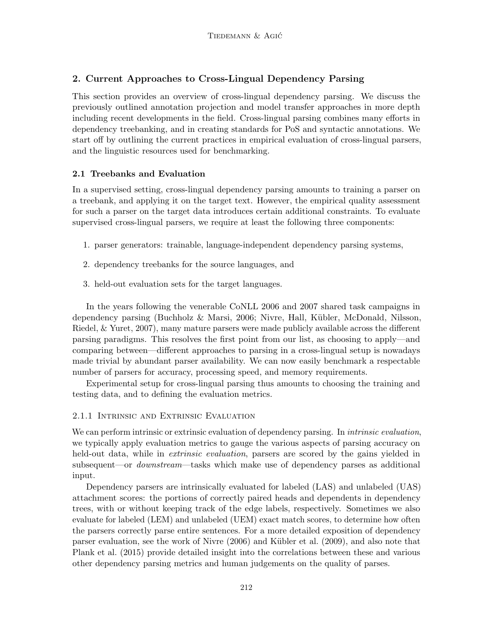# 2. Current Approaches to Cross-Lingual Dependency Parsing

This section provides an overview of cross-lingual dependency parsing. We discuss the previously outlined annotation projection and model transfer approaches in more depth including recent developments in the field. Cross-lingual parsing combines many efforts in dependency treebanking, and in creating standards for PoS and syntactic annotations. We start off by outlining the current practices in empirical evaluation of cross-lingual parsers, and the linguistic resources used for benchmarking.

# 2.1 Treebanks and Evaluation

In a supervised setting, cross-lingual dependency parsing amounts to training a parser on a treebank, and applying it on the target text. However, the empirical quality assessment for such a parser on the target data introduces certain additional constraints. To evaluate supervised cross-lingual parsers, we require at least the following three components:

- 1. parser generators: trainable, language-independent dependency parsing systems,
- 2. dependency treebanks for the source languages, and
- 3. held-out evaluation sets for the target languages.

In the years following the venerable CoNLL 2006 and 2007 shared task campaigns in dependency parsing (Buchholz & Marsi, 2006; Nivre, Hall, K¨ubler, McDonald, Nilsson, Riedel, & Yuret, 2007), many mature parsers were made publicly available across the different parsing paradigms. This resolves the first point from our list, as choosing to apply—and comparing between—different approaches to parsing in a cross-lingual setup is nowadays made trivial by abundant parser availability. We can now easily benchmark a respectable number of parsers for accuracy, processing speed, and memory requirements.

Experimental setup for cross-lingual parsing thus amounts to choosing the training and testing data, and to defining the evaluation metrics.

# 2.1.1 Intrinsic and Extrinsic Evaluation

We can perform intrinsic or extrinsic evaluation of dependency parsing. In *intrinsic evaluation*, we typically apply evaluation metrics to gauge the various aspects of parsing accuracy on held-out data, while in *extrinsic evaluation*, parsers are scored by the gains yielded in subsequent—or *downstream*—tasks which make use of dependency parses as additional input.

Dependency parsers are intrinsically evaluated for labeled (LAS) and unlabeled (UAS) attachment scores: the portions of correctly paired heads and dependents in dependency trees, with or without keeping track of the edge labels, respectively. Sometimes we also evaluate for labeled (LEM) and unlabeled (UEM) exact match scores, to determine how often the parsers correctly parse entire sentences. For a more detailed exposition of dependency parser evaluation, see the work of Nivre (2006) and Kübler et al. (2009), and also note that Plank et al. (2015) provide detailed insight into the correlations between these and various other dependency parsing metrics and human judgements on the quality of parses.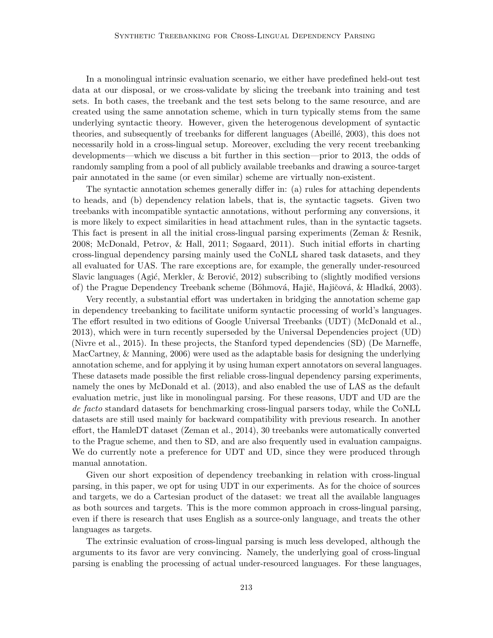In a monolingual intrinsic evaluation scenario, we either have predefined held-out test data at our disposal, or we cross-validate by slicing the treebank into training and test sets. In both cases, the treebank and the test sets belong to the same resource, and are created using the same annotation scheme, which in turn typically stems from the same underlying syntactic theory. However, given the heterogenous development of syntactic theories, and subsequently of treebanks for different languages (Abeillé, 2003), this does not necessarily hold in a cross-lingual setup. Moreover, excluding the very recent treebanking developments—which we discuss a bit further in this section—prior to 2013, the odds of randomly sampling from a pool of all publicly available treebanks and drawing a source-target pair annotated in the same (or even similar) scheme are virtually non-existent.

The syntactic annotation schemes generally differ in: (a) rules for attaching dependents to heads, and (b) dependency relation labels, that is, the syntactic tagsets. Given two treebanks with incompatible syntactic annotations, without performing any conversions, it is more likely to expect similarities in head attachment rules, than in the syntactic tagsets. This fact is present in all the initial cross-lingual parsing experiments (Zeman & Resnik, 2008; McDonald, Petrov, & Hall, 2011; Søgaard, 2011). Such initial efforts in charting cross-lingual dependency parsing mainly used the CoNLL shared task datasets, and they all evaluated for UAS. The rare exceptions are, for example, the generally under-resourced Slavic languages (Agić, Merkler,  $\&$  Berović, 2012) subscribing to (slightly modified versions of) the Prague Dependency Treebank scheme (Böhmová, Hajič, Hajičová, & Hladká, 2003).

Very recently, a substantial effort was undertaken in bridging the annotation scheme gap in dependency treebanking to facilitate uniform syntactic processing of world's languages. The effort resulted in two editions of Google Universal Treebanks (UDT) (McDonald et al., 2013), which were in turn recently superseded by the Universal Dependencies project (UD) (Nivre et al., 2015). In these projects, the Stanford typed dependencies (SD) (De Marneffe, MacCartney, & Manning, 2006) were used as the adaptable basis for designing the underlying annotation scheme, and for applying it by using human expert annotators on several languages. These datasets made possible the first reliable cross-lingual dependency parsing experiments, namely the ones by McDonald et al. (2013), and also enabled the use of LAS as the default evaluation metric, just like in monolingual parsing. For these reasons, UDT and UD are the de facto standard datasets for benchmarking cross-lingual parsers today, while the CoNLL datasets are still used mainly for backward compatibility with previous research. In another effort, the HamleDT dataset (Zeman et al., 2014), 30 treebanks were automatically converted to the Prague scheme, and then to SD, and are also frequently used in evaluation campaigns. We do currently note a preference for UDT and UD, since they were produced through manual annotation.

Given our short exposition of dependency treebanking in relation with cross-lingual parsing, in this paper, we opt for using UDT in our experiments. As for the choice of sources and targets, we do a Cartesian product of the dataset: we treat all the available languages as both sources and targets. This is the more common approach in cross-lingual parsing, even if there is research that uses English as a source-only language, and treats the other languages as targets.

The extrinsic evaluation of cross-lingual parsing is much less developed, although the arguments to its favor are very convincing. Namely, the underlying goal of cross-lingual parsing is enabling the processing of actual under-resourced languages. For these languages,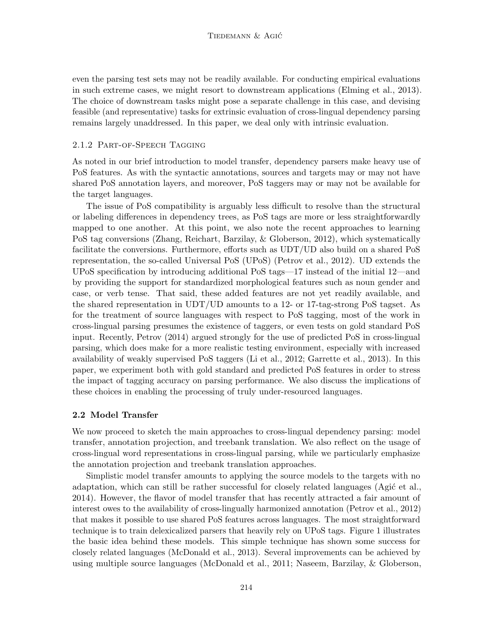even the parsing test sets may not be readily available. For conducting empirical evaluations in such extreme cases, we might resort to downstream applications (Elming et al., 2013). The choice of downstream tasks might pose a separate challenge in this case, and devising feasible (and representative) tasks for extrinsic evaluation of cross-lingual dependency parsing remains largely unaddressed. In this paper, we deal only with intrinsic evaluation.

### 2.1.2 Part-of-Speech Tagging

As noted in our brief introduction to model transfer, dependency parsers make heavy use of PoS features. As with the syntactic annotations, sources and targets may or may not have shared PoS annotation layers, and moreover, PoS taggers may or may not be available for the target languages.

The issue of PoS compatibility is arguably less difficult to resolve than the structural or labeling differences in dependency trees, as PoS tags are more or less straightforwardly mapped to one another. At this point, we also note the recent approaches to learning PoS tag conversions (Zhang, Reichart, Barzilay, & Globerson, 2012), which systematically facilitate the conversions. Furthermore, efforts such as UDT/UD also build on a shared PoS representation, the so-called Universal PoS (UPoS) (Petrov et al., 2012). UD extends the UPoS specification by introducing additional PoS tags—17 instead of the initial 12—and by providing the support for standardized morphological features such as noun gender and case, or verb tense. That said, these added features are not yet readily available, and the shared representation in UDT/UD amounts to a 12- or 17-tag-strong PoS tagset. As for the treatment of source languages with respect to PoS tagging, most of the work in cross-lingual parsing presumes the existence of taggers, or even tests on gold standard PoS input. Recently, Petrov (2014) argued strongly for the use of predicted PoS in cross-lingual parsing, which does make for a more realistic testing environment, especially with increased availability of weakly supervised PoS taggers (Li et al., 2012; Garrette et al., 2013). In this paper, we experiment both with gold standard and predicted PoS features in order to stress the impact of tagging accuracy on parsing performance. We also discuss the implications of these choices in enabling the processing of truly under-resourced languages.

#### 2.2 Model Transfer

We now proceed to sketch the main approaches to cross-lingual dependency parsing: model transfer, annotation projection, and treebank translation. We also reflect on the usage of cross-lingual word representations in cross-lingual parsing, while we particularly emphasize the annotation projection and treebank translation approaches.

Simplistic model transfer amounts to applying the source models to the targets with no adaptation, which can still be rather successful for closely related languages (Agic et al., 2014). However, the flavor of model transfer that has recently attracted a fair amount of interest owes to the availability of cross-lingually harmonized annotation (Petrov et al., 2012) that makes it possible to use shared PoS features across languages. The most straightforward technique is to train delexicalized parsers that heavily rely on UPoS tags. Figure 1 illustrates the basic idea behind these models. This simple technique has shown some success for closely related languages (McDonald et al., 2013). Several improvements can be achieved by using multiple source languages (McDonald et al., 2011; Naseem, Barzilay, & Globerson,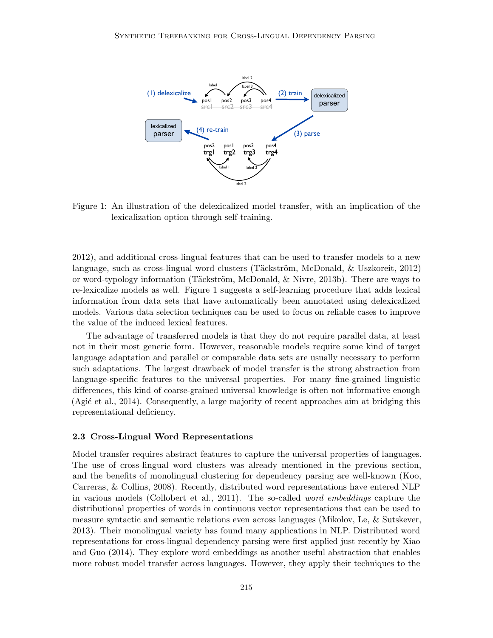

Figure 1: An illustration of the delexicalized model transfer, with an implication of the lexicalization option through self-training.

2012), and additional cross-lingual features that can be used to transfer models to a new language, such as cross-lingual word clusters (Täckström, McDonald,  $\&$  Uszkoreit, 2012) or word-typology information (Täckström, McDonald,  $\&$  Nivre, 2013b). There are ways to re-lexicalize models as well. Figure 1 suggests a self-learning procedure that adds lexical information from data sets that have automatically been annotated using delexicalized models. Various data selection techniques can be used to focus on reliable cases to improve the value of the induced lexical features.

The advantage of transferred models is that they do not require parallel data, at least not in their most generic form. However, reasonable models require some kind of target language adaptation and parallel or comparable data sets are usually necessary to perform such adaptations. The largest drawback of model transfer is the strong abstraction from language-specific features to the universal properties. For many fine-grained linguistic differences, this kind of coarse-grained universal knowledge is often not informative enough (Agic et al., 2014). Consequently, a large majority of recent approaches aim at bridging this representational deficiency.

#### 2.3 Cross-Lingual Word Representations

Model transfer requires abstract features to capture the universal properties of languages. The use of cross-lingual word clusters was already mentioned in the previous section, and the benefits of monolingual clustering for dependency parsing are well-known (Koo, Carreras, & Collins, 2008). Recently, distributed word representations have entered NLP in various models (Collobert et al., 2011). The so-called word embeddings capture the distributional properties of words in continuous vector representations that can be used to measure syntactic and semantic relations even across languages (Mikolov, Le, & Sutskever, 2013). Their monolingual variety has found many applications in NLP. Distributed word representations for cross-lingual dependency parsing were first applied just recently by Xiao and Guo (2014). They explore word embeddings as another useful abstraction that enables more robust model transfer across languages. However, they apply their techniques to the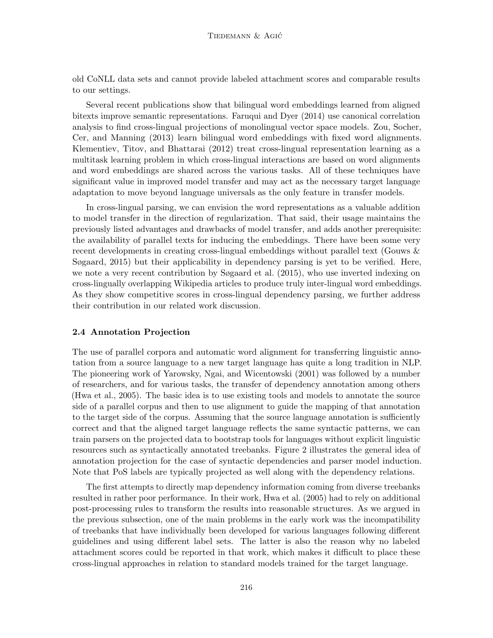old CoNLL data sets and cannot provide labeled attachment scores and comparable results to our settings.

Several recent publications show that bilingual word embeddings learned from aligned bitexts improve semantic representations. Faruqui and Dyer (2014) use canonical correlation analysis to find cross-lingual projections of monolingual vector space models. Zou, Socher, Cer, and Manning (2013) learn bilingual word embeddings with fixed word alignments. Klementiev, Titov, and Bhattarai (2012) treat cross-lingual representation learning as a multitask learning problem in which cross-lingual interactions are based on word alignments and word embeddings are shared across the various tasks. All of these techniques have significant value in improved model transfer and may act as the necessary target language adaptation to move beyond language universals as the only feature in transfer models.

In cross-lingual parsing, we can envision the word representations as a valuable addition to model transfer in the direction of regularization. That said, their usage maintains the previously listed advantages and drawbacks of model transfer, and adds another prerequisite: the availability of parallel texts for inducing the embeddings. There have been some very recent developments in creating cross-lingual embeddings without parallel text (Gouws & Søgaard, 2015) but their applicability in dependency parsing is yet to be verified. Here, we note a very recent contribution by Søgaard et al. (2015), who use inverted indexing on cross-lingually overlapping Wikipedia articles to produce truly inter-lingual word embeddings. As they show competitive scores in cross-lingual dependency parsing, we further address their contribution in our related work discussion.

# 2.4 Annotation Projection

The use of parallel corpora and automatic word alignment for transferring linguistic annotation from a source language to a new target language has quite a long tradition in NLP. The pioneering work of Yarowsky, Ngai, and Wicentowski (2001) was followed by a number of researchers, and for various tasks, the transfer of dependency annotation among others (Hwa et al., 2005). The basic idea is to use existing tools and models to annotate the source side of a parallel corpus and then to use alignment to guide the mapping of that annotation to the target side of the corpus. Assuming that the source language annotation is sufficiently correct and that the aligned target language reflects the same syntactic patterns, we can train parsers on the projected data to bootstrap tools for languages without explicit linguistic resources such as syntactically annotated treebanks. Figure 2 illustrates the general idea of annotation projection for the case of syntactic dependencies and parser model induction. Note that PoS labels are typically projected as well along with the dependency relations.

The first attempts to directly map dependency information coming from diverse treebanks resulted in rather poor performance. In their work, Hwa et al. (2005) had to rely on additional post-processing rules to transform the results into reasonable structures. As we argued in the previous subsection, one of the main problems in the early work was the incompatibility of treebanks that have individually been developed for various languages following different guidelines and using different label sets. The latter is also the reason why no labeled attachment scores could be reported in that work, which makes it difficult to place these cross-lingual approaches in relation to standard models trained for the target language.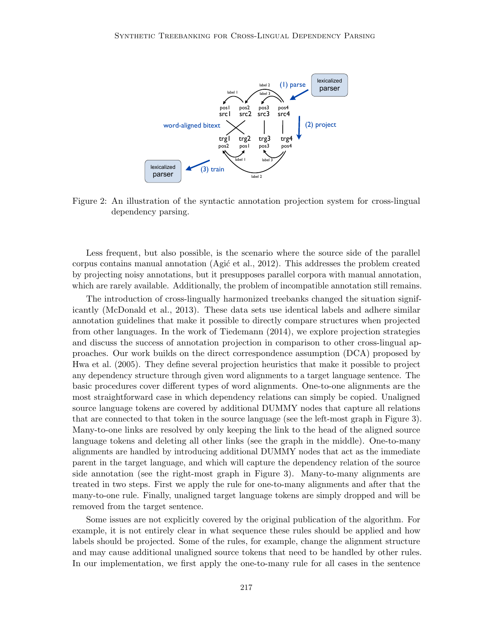

Figure 2: An illustration of the syntactic annotation projection system for cross-lingual dependency parsing.

Less frequent, but also possible, is the scenario where the source side of the parallel corpus contains manual annotation (Agic et al., 2012). This addresses the problem created by projecting noisy annotations, but it presupposes parallel corpora with manual annotation, which are rarely available. Additionally, the problem of incompatible annotation still remains.

The introduction of cross-lingually harmonized treebanks changed the situation significantly (McDonald et al., 2013). These data sets use identical labels and adhere similar annotation guidelines that make it possible to directly compare structures when projected from other languages. In the work of Tiedemann (2014), we explore projection strategies and discuss the success of annotation projection in comparison to other cross-lingual approaches. Our work builds on the direct correspondence assumption (DCA) proposed by Hwa et al. (2005). They define several projection heuristics that make it possible to project any dependency structure through given word alignments to a target language sentence. The basic procedures cover different types of word alignments. One-to-one alignments are the most straightforward case in which dependency relations can simply be copied. Unaligned source language tokens are covered by additional DUMMY nodes that capture all relations that are connected to that token in the source language (see the left-most graph in Figure 3). Many-to-one links are resolved by only keeping the link to the head of the aligned source language tokens and deleting all other links (see the graph in the middle). One-to-many alignments are handled by introducing additional DUMMY nodes that act as the immediate parent in the target language, and which will capture the dependency relation of the source side annotation (see the right-most graph in Figure 3). Many-to-many alignments are treated in two steps. First we apply the rule for one-to-many alignments and after that the many-to-one rule. Finally, unaligned target language tokens are simply dropped and will be removed from the target sentence.

Some issues are not explicitly covered by the original publication of the algorithm. For example, it is not entirely clear in what sequence these rules should be applied and how labels should be projected. Some of the rules, for example, change the alignment structure and may cause additional unaligned source tokens that need to be handled by other rules. In our implementation, we first apply the one-to-many rule for all cases in the sentence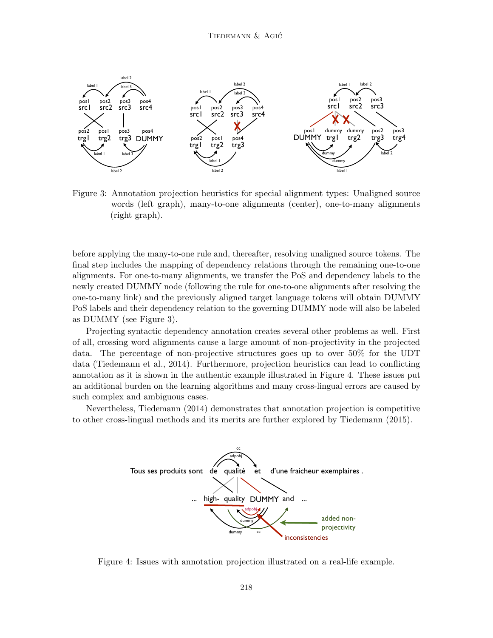

Figure 3: Annotation projection heuristics for special alignment types: Unaligned source words (left graph), many-to-one alignments (center), one-to-many alignments (right graph).

before applying the many-to-one rule and, thereafter, resolving unaligned source tokens. The final step includes the mapping of dependency relations through the remaining one-to-one alignments. For one-to-many alignments, we transfer the PoS and dependency labels to the newly created DUMMY node (following the rule for one-to-one alignments after resolving the one-to-many link) and the previously aligned target language tokens will obtain DUMMY PoS labels and their dependency relation to the governing DUMMY node will also be labeled as DUMMY (see Figure 3).

Projecting syntactic dependency annotation creates several other problems as well. First of all, crossing word alignments cause a large amount of non-projectivity in the projected data. The percentage of non-projective structures goes up to over 50% for the UDT data (Tiedemann et al., 2014). Furthermore, projection heuristics can lead to conflicting annotation as it is shown in the authentic example illustrated in Figure 4. These issues put an additional burden on the learning algorithms and many cross-lingual errors are caused by such complex and ambiguous cases.

Nevertheless, Tiedemann (2014) demonstrates that annotation projection is competitive to other cross-lingual methods and its merits are further explored by Tiedemann (2015).



Figure 4: Issues with annotation projection illustrated on a real-life example.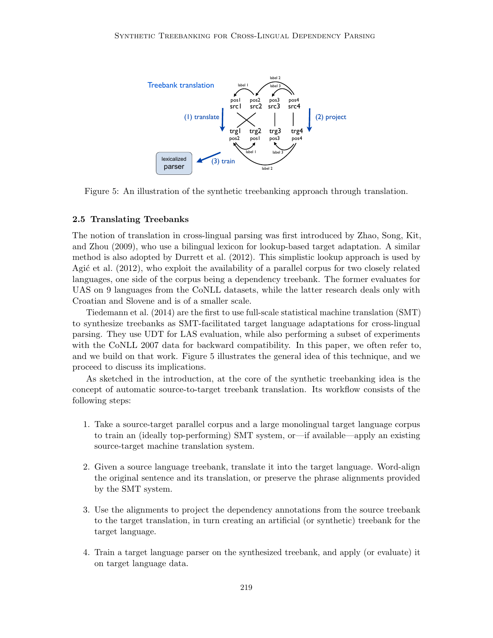

Figure 5: An illustration of the synthetic treebanking approach through translation.

#### 2.5 Translating Treebanks

The notion of translation in cross-lingual parsing was first introduced by Zhao, Song, Kit, and Zhou (2009), who use a bilingual lexicon for lookup-based target adaptation. A similar method is also adopted by Durrett et al. (2012). This simplistic lookup approach is used by Agit et al. (2012), who exploit the availability of a parallel corpus for two closely related languages, one side of the corpus being a dependency treebank. The former evaluates for UAS on 9 languages from the CoNLL datasets, while the latter research deals only with Croatian and Slovene and is of a smaller scale.

Tiedemann et al. (2014) are the first to use full-scale statistical machine translation (SMT) to synthesize treebanks as SMT-facilitated target language adaptations for cross-lingual parsing. They use UDT for LAS evaluation, while also performing a subset of experiments with the CoNLL 2007 data for backward compatibility. In this paper, we often refer to, and we build on that work. Figure 5 illustrates the general idea of this technique, and we proceed to discuss its implications.

As sketched in the introduction, at the core of the synthetic treebanking idea is the concept of automatic source-to-target treebank translation. Its workflow consists of the following steps:

- 1. Take a source-target parallel corpus and a large monolingual target language corpus to train an (ideally top-performing) SMT system, or—if available—apply an existing source-target machine translation system.
- 2. Given a source language treebank, translate it into the target language. Word-align the original sentence and its translation, or preserve the phrase alignments provided by the SMT system.
- 3. Use the alignments to project the dependency annotations from the source treebank to the target translation, in turn creating an artificial (or synthetic) treebank for the target language.
- 4. Train a target language parser on the synthesized treebank, and apply (or evaluate) it on target language data.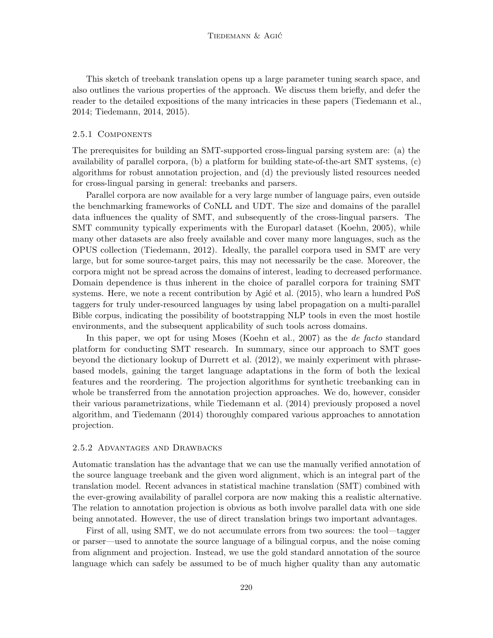This sketch of treebank translation opens up a large parameter tuning search space, and also outlines the various properties of the approach. We discuss them briefly, and defer the reader to the detailed expositions of the many intricacies in these papers (Tiedemann et al., 2014; Tiedemann, 2014, 2015).

#### 2.5.1 Components

The prerequisites for building an SMT-supported cross-lingual parsing system are: (a) the availability of parallel corpora, (b) a platform for building state-of-the-art SMT systems, (c) algorithms for robust annotation projection, and (d) the previously listed resources needed for cross-lingual parsing in general: treebanks and parsers.

Parallel corpora are now available for a very large number of language pairs, even outside the benchmarking frameworks of CoNLL and UDT. The size and domains of the parallel data influences the quality of SMT, and subsequently of the cross-lingual parsers. The SMT community typically experiments with the Europarl dataset (Koehn, 2005), while many other datasets are also freely available and cover many more languages, such as the OPUS collection (Tiedemann, 2012). Ideally, the parallel corpora used in SMT are very large, but for some source-target pairs, this may not necessarily be the case. Moreover, the corpora might not be spread across the domains of interest, leading to decreased performance. Domain dependence is thus inherent in the choice of parallel corpora for training SMT systems. Here, we note a recent contribution by Agic et al.  $(2015)$ , who learn a hundred PoS taggers for truly under-resourced languages by using label propagation on a multi-parallel Bible corpus, indicating the possibility of bootstrapping NLP tools in even the most hostile environments, and the subsequent applicability of such tools across domains.

In this paper, we opt for using Moses (Koehn et al., 2007) as the de facto standard platform for conducting SMT research. In summary, since our approach to SMT goes beyond the dictionary lookup of Durrett et al. (2012), we mainly experiment with phrasebased models, gaining the target language adaptations in the form of both the lexical features and the reordering. The projection algorithms for synthetic treebanking can in whole be transferred from the annotation projection approaches. We do, however, consider their various parametrizations, while Tiedemann et al. (2014) previously proposed a novel algorithm, and Tiedemann (2014) thoroughly compared various approaches to annotation projection.

#### 2.5.2 Advantages and Drawbacks

Automatic translation has the advantage that we can use the manually verified annotation of the source language treebank and the given word alignment, which is an integral part of the translation model. Recent advances in statistical machine translation (SMT) combined with the ever-growing availability of parallel corpora are now making this a realistic alternative. The relation to annotation projection is obvious as both involve parallel data with one side being annotated. However, the use of direct translation brings two important advantages.

First of all, using SMT, we do not accumulate errors from two sources: the tool—tagger or parser—used to annotate the source language of a bilingual corpus, and the noise coming from alignment and projection. Instead, we use the gold standard annotation of the source language which can safely be assumed to be of much higher quality than any automatic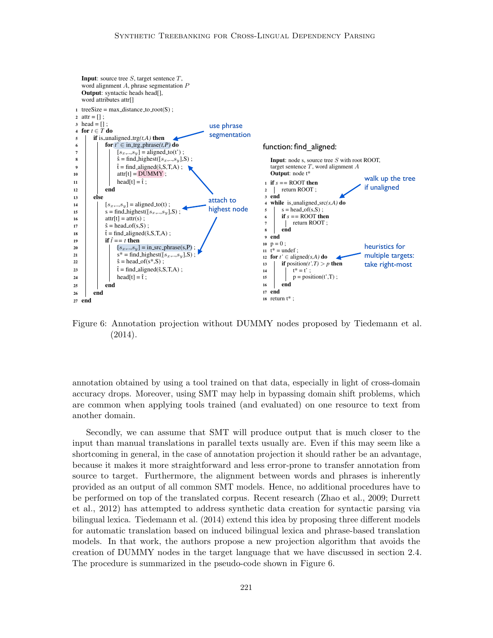

the Annotation projection without DUMMY nodes proposed by Tiedemann Figure 6: Annotation projection without DUMMY nodes proposed by Tiedemann et al.  $(2014).$  $\chi$   $=$   $\chi$ 

annotation obtained by using a tool trained on that data, especially in light of cross-domain accuracy drops. Moreover, using SMT may help in bypassing domain shift problems, which  $\frac{1}{\alpha}$  the common when applying tools train. translation with a projection features.  $($ and evaluated) on one resource to tex based parser with beam search and perceptron delexicalized transfer parsing following the approduced et al. (2013). Second, we also have a second, we also have a second, we also have a second, we also have a second, we also have a second, we also have a second, we also have a second, we also have a second, we als represent to text free target to text free are common when applying tools trained (and evaluated) on one resource to text from<br>another demain another domain.

Secondly, we can assume that SMT will produce output that is much closer to the ing the baseline support with produce support vector mathematic support vector in the manner of the manner in the manner of the manner of the manner of the manner of the manner of the manner of the manner of the manner of Interaction in general, in the case of annotation projection it should rather be an adv however it makes it more straightforward and loss error prope to transfer appointie  $\frac{1}{2}$   $\frac{1}{2}$   $\frac{1}{2}$   $\frac{1}{2}$   $\frac{1}{2}$   $\frac{1}{2}$   $\frac{1}{2}$ source to target. Furthermore, the alignment between words and phrases is inherently provided as an output of an coin performed on top of the translated corpus. Recent research (Zhao et al., 2009; Durr els al., 2012) has attempted to address synthetic data creation for syntactic parsing the baseline parsing score bilingual lexica. Tiedemann et al. (2014) extend this idea by proposing three different models for automatic translation based on induced bilingual lexica and phrase-based translation models. In that work, the authors propose a new projection algorithm that avoids the paration of  $\overline{D}$ IIM $\overline{N}$  rades in the tensor  $\frac{1}{\pi}$  is a point and all other are the are then are the are then appendix  $\frac{1}{\pi}$  of  $\frac{1}{\pi}$  or  $\frac{1}{\pi}$  or  $\frac{1}{\pi}$  or  $\frac{1}{\pi}$  or  $\frac{1}{\pi}$  or  $\frac{1}{\pi}$  or  $\frac{1}{\pi}$  or  $\frac{1}{\pi}$  or  $\frac{1}{\pi}$  or  $\$ I he procedure is summarized in the pseudo-code shown in Figure 6. because it makes it more straightforward and less error-prone to transfer annotation from  $\frac{1}{\sqrt{2}}$  compared to the baseline performance performance performance performance  $\frac{1}{\sqrt{2}}$ abourse that we have discussed in second second second second second second second second second second second <br> $\frac{1}{2}$ an manuar translations in paraner tex et al., 2012) has attempted to address synthetic data creation for syntactic parsing via creation of DUMMY nodes in the target language that we have discussed in section 2.4.  $\frac{6}{100}$  the monomized in the model as The procedure is summarized in the pseudo-code shown in Figure 6. input than manual translations in parallel texts usually are. Even if this may seem like a experiment of the common present interest and the common present interest. shortcoming in general, in the case of annotation projection it should rather be an advantage, provided as an output of all common SMT models. Hence, no additional procedures have to be performed on top of the translated corpus. Recent research (Zhao et al., 2009; Durrett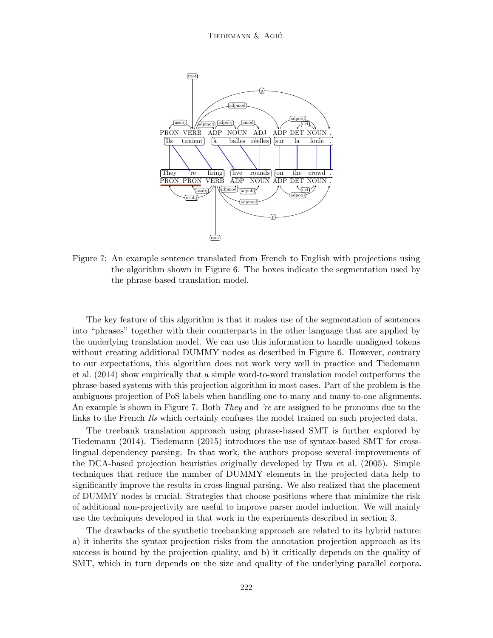

Figure 7: An example sentence translated from French to English with projections using the algorithm shown in Figure 6. The boxes indicate the segmentation used by the phrase-based translation model.

The key feature of this algorithm is that it makes use of the segmentation of sentences into "phrases" together with their counterparts in the other language that are applied by the underlying translation model. We can use this information to handle unaligned tokens without creating additional DUMMY nodes as described in Figure 6. However, contrary to our expectations, this algorithm does not work very well in practice and Tiedemann et al. (2014) show empirically that a simple word-to-word translation model outperforms the phrase-based systems with this projection algorithm in most cases. Part of the problem is the ambiguous projection of PoS labels when handling one-to-many and many-to-one alignments. An example is shown in Figure 7. Both *They* and 're are assigned to be pronouns due to the links to the French Ils which certainly confuses the model trained on such projected data.

The treebank translation approach using phrase-based SMT is further explored by Tiedemann (2014). Tiedemann (2015) introduces the use of syntax-based SMT for crosslingual dependency parsing. In that work, the authors propose several improvements of the DCA-based projection heuristics originally developed by Hwa et al. (2005). Simple techniques that reduce the number of DUMMY elements in the projected data help to significantly improve the results in cross-lingual parsing. We also realized that the placement of DUMMY nodes is crucial. Strategies that choose positions where that minimize the risk of additional non-projectivity are useful to improve parser model induction. We will mainly use the techniques developed in that work in the experiments described in section 3.

The drawbacks of the synthetic treebanking approach are related to its hybrid nature: a) it inherits the syntax projection risks from the annotation projection approach as its success is bound by the projection quality, and b) it critically depends on the quality of SMT, which in turn depends on the size and quality of the underlying parallel corpora.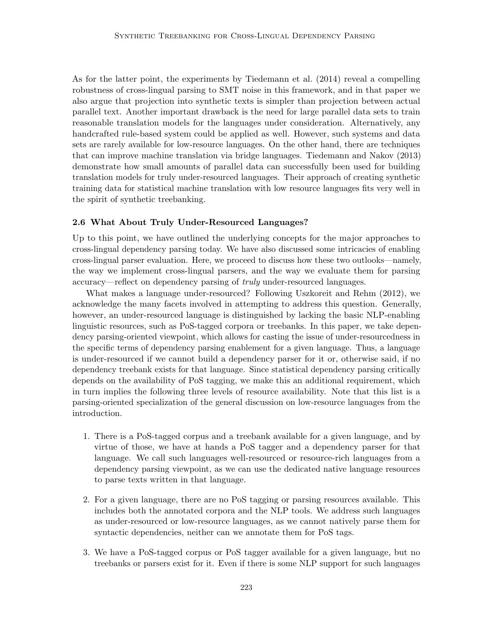As for the latter point, the experiments by Tiedemann et al. (2014) reveal a compelling robustness of cross-lingual parsing to SMT noise in this framework, and in that paper we also argue that projection into synthetic texts is simpler than projection between actual parallel text. Another important drawback is the need for large parallel data sets to train reasonable translation models for the languages under consideration. Alternatively, any handcrafted rule-based system could be applied as well. However, such systems and data sets are rarely available for low-resource languages. On the other hand, there are techniques that can improve machine translation via bridge languages. Tiedemann and Nakov (2013) demonstrate how small amounts of parallel data can successfully been used for building translation models for truly under-resourced languages. Their approach of creating synthetic training data for statistical machine translation with low resource languages fits very well in the spirit of synthetic treebanking.

#### 2.6 What About Truly Under-Resourced Languages?

Up to this point, we have outlined the underlying concepts for the major approaches to cross-lingual dependency parsing today. We have also discussed some intricacies of enabling cross-lingual parser evaluation. Here, we proceed to discuss how these two outlooks—namely, the way we implement cross-lingual parsers, and the way we evaluate them for parsing accuracy—reflect on dependency parsing of truly under-resourced languages.

What makes a language under-resourced? Following Uszkoreit and Rehm (2012), we acknowledge the many facets involved in attempting to address this question. Generally, however, an under-resourced language is distinguished by lacking the basic NLP-enabling linguistic resources, such as PoS-tagged corpora or treebanks. In this paper, we take dependency parsing-oriented viewpoint, which allows for casting the issue of under-resourcedness in the specific terms of dependency parsing enablement for a given language. Thus, a language is under-resourced if we cannot build a dependency parser for it or, otherwise said, if no dependency treebank exists for that language. Since statistical dependency parsing critically depends on the availability of PoS tagging, we make this an additional requirement, which in turn implies the following three levels of resource availability. Note that this list is a parsing-oriented specialization of the general discussion on low-resource languages from the introduction.

- 1. There is a PoS-tagged corpus and a treebank available for a given language, and by virtue of those, we have at hands a PoS tagger and a dependency parser for that language. We call such languages well-resourced or resource-rich languages from a dependency parsing viewpoint, as we can use the dedicated native language resources to parse texts written in that language.
- 2. For a given language, there are no PoS tagging or parsing resources available. This includes both the annotated corpora and the NLP tools. We address such languages as under-resourced or low-resource languages, as we cannot natively parse them for syntactic dependencies, neither can we annotate them for PoS tags.
- 3. We have a PoS-tagged corpus or PoS tagger available for a given language, but no treebanks or parsers exist for it. Even if there is some NLP support for such languages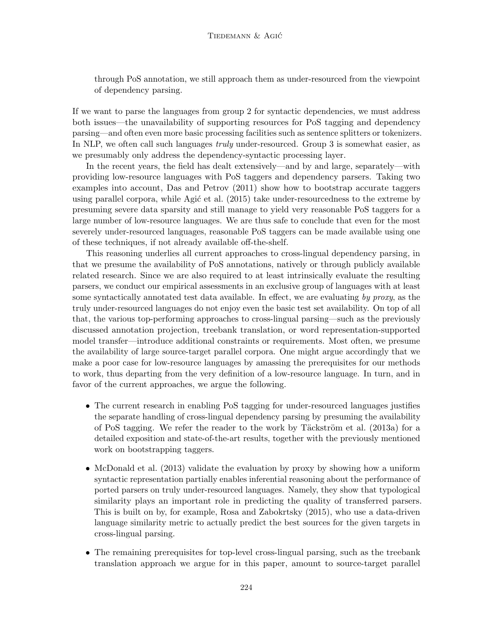through PoS annotation, we still approach them as under-resourced from the viewpoint of dependency parsing.

If we want to parse the languages from group 2 for syntactic dependencies, we must address both issues—the unavailability of supporting resources for PoS tagging and dependency parsing—and often even more basic processing facilities such as sentence splitters or tokenizers. In NLP, we often call such languages *truly* under-resourced. Group 3 is somewhat easier, as we presumably only address the dependency-syntactic processing layer.

In the recent years, the field has dealt extensively—and by and large, separately—with providing low-resource languages with PoS taggers and dependency parsers. Taking two examples into account, Das and Petrov (2011) show how to bootstrap accurate taggers using parallel corpora, while Agić et al.  $(2015)$  take under-resourcedness to the extreme by presuming severe data sparsity and still manage to yield very reasonable PoS taggers for a large number of low-resource languages. We are thus safe to conclude that even for the most severely under-resourced languages, reasonable PoS taggers can be made available using one of these techniques, if not already available off-the-shelf.

This reasoning underlies all current approaches to cross-lingual dependency parsing, in that we presume the availability of PoS annotations, natively or through publicly available related research. Since we are also required to at least intrinsically evaluate the resulting parsers, we conduct our empirical assessments in an exclusive group of languages with at least some syntactically annotated test data available. In effect, we are evaluating by proxy, as the truly under-resourced languages do not enjoy even the basic test set availability. On top of all that, the various top-performing approaches to cross-lingual parsing—such as the previously discussed annotation projection, treebank translation, or word representation-supported model transfer—introduce additional constraints or requirements. Most often, we presume the availability of large source-target parallel corpora. One might argue accordingly that we make a poor case for low-resource languages by amassing the prerequisites for our methods to work, thus departing from the very definition of a low-resource language. In turn, and in favor of the current approaches, we argue the following.

- The current research in enabling PoS tagging for under-resourced languages justifies the separate handling of cross-lingual dependency parsing by presuming the availability of PoS tagging. We refer the reader to the work by Täckström et al.  $(2013a)$  for a detailed exposition and state-of-the-art results, together with the previously mentioned work on bootstrapping taggers.
- McDonald et al. (2013) validate the evaluation by proxy by showing how a uniform syntactic representation partially enables inferential reasoning about the performance of ported parsers on truly under-resourced languages. Namely, they show that typological similarity plays an important role in predicting the quality of transferred parsers. This is built on by, for example, Rosa and Zabokrtsky (2015), who use a data-driven language similarity metric to actually predict the best sources for the given targets in cross-lingual parsing.
- The remaining prerequisites for top-level cross-lingual parsing, such as the treebank translation approach we argue for in this paper, amount to source-target parallel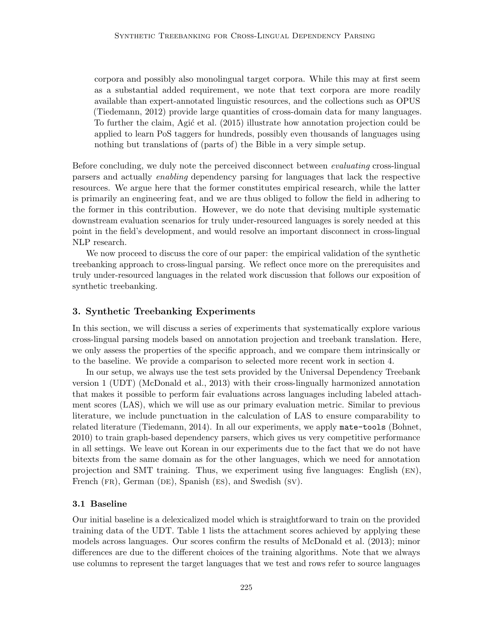corpora and possibly also monolingual target corpora. While this may at first seem as a substantial added requirement, we note that text corpora are more readily available than expert-annotated linguistic resources, and the collections such as OPUS (Tiedemann, 2012) provide large quantities of cross-domain data for many languages. To further the claim, Agic et al. (2015) illustrate how annotation projection could be applied to learn PoS taggers for hundreds, possibly even thousands of languages using nothing but translations of (parts of) the Bible in a very simple setup.

Before concluding, we duly note the perceived disconnect between evaluating cross-lingual parsers and actually enabling dependency parsing for languages that lack the respective resources. We argue here that the former constitutes empirical research, while the latter is primarily an engineering feat, and we are thus obliged to follow the field in adhering to the former in this contribution. However, we do note that devising multiple systematic downstream evaluation scenarios for truly under-resourced languages is sorely needed at this point in the field's development, and would resolve an important disconnect in cross-lingual NLP research.

We now proceed to discuss the core of our paper: the empirical validation of the synthetic treebanking approach to cross-lingual parsing. We reflect once more on the prerequisites and truly under-resourced languages in the related work discussion that follows our exposition of synthetic treebanking.

# 3. Synthetic Treebanking Experiments

In this section, we will discuss a series of experiments that systematically explore various cross-lingual parsing models based on annotation projection and treebank translation. Here, we only assess the properties of the specific approach, and we compare them intrinsically or to the baseline. We provide a comparison to selected more recent work in section 4.

In our setup, we always use the test sets provided by the Universal Dependency Treebank version 1 (UDT) (McDonald et al., 2013) with their cross-lingually harmonized annotation that makes it possible to perform fair evaluations across languages including labeled attachment scores (LAS), which we will use as our primary evaluation metric. Similar to previous literature, we include punctuation in the calculation of LAS to ensure comparability to related literature (Tiedemann, 2014). In all our experiments, we apply mate-tools (Bohnet, 2010) to train graph-based dependency parsers, which gives us very competitive performance in all settings. We leave out Korean in our experiments due to the fact that we do not have bitexts from the same domain as for the other languages, which we need for annotation projection and SMT training. Thus, we experiment using five languages: English (en), French (FR), German (DE), Spanish (ES), and Swedish (SV).

# 3.1 Baseline

Our initial baseline is a delexicalized model which is straightforward to train on the provided training data of the UDT. Table 1 lists the attachment scores achieved by applying these models across languages. Our scores confirm the results of McDonald et al. (2013); minor differences are due to the different choices of the training algorithms. Note that we always use columns to represent the target languages that we test and rows refer to source languages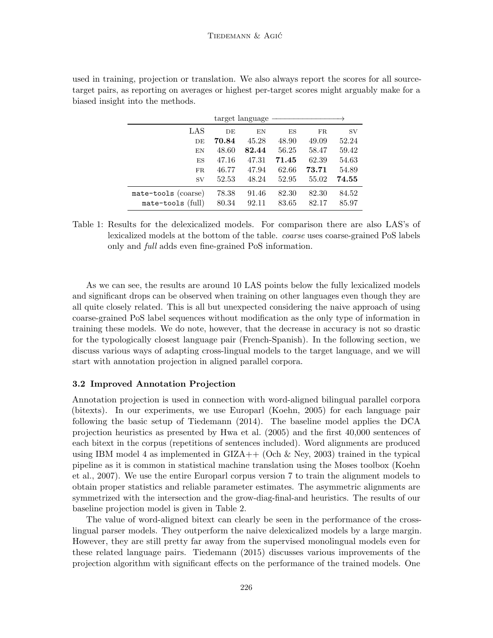| target language     |       |       |       |       |           |
|---------------------|-------|-------|-------|-------|-----------|
| LAS                 | DE    | EN    | ES    | FR    | <b>SV</b> |
| DE                  | 70.84 | 45.28 | 48.90 | 49.09 | 52.24     |
| EN                  | 48.60 | 82.44 | 56.25 | 58.47 | 59.42     |
| ES                  | 47.16 | 47.31 | 71.45 | 62.39 | 54.63     |
| FR                  | 46.77 | 47.94 | 62.66 | 73.71 | 54.89     |
| <b>SV</b>           | 52.53 | 48.24 | 52.95 | 55.02 | 74.55     |
| mate-tools (coarse) | 78.38 | 91.46 | 82.30 | 82.30 | 84.52     |
| mate-tools (full)   | 80.34 | 92.11 | 83.65 | 82.17 | 85.97     |

used in training, projection or translation. We also always report the scores for all sourcetarget pairs, as reporting on averages or highest per-target scores might arguably make for a biased insight into the methods.

Table 1: Results for the delexicalized models. For comparison there are also LAS's of lexicalized models at the bottom of the table. coarse uses coarse-grained PoS labels only and full adds even fine-grained PoS information.

As we can see, the results are around 10 LAS points below the fully lexicalized models and significant drops can be observed when training on other languages even though they are all quite closely related. This is all but unexpected considering the naive approach of using coarse-grained PoS label sequences without modification as the only type of information in training these models. We do note, however, that the decrease in accuracy is not so drastic for the typologically closest language pair (French-Spanish). In the following section, we discuss various ways of adapting cross-lingual models to the target language, and we will start with annotation projection in aligned parallel corpora.

#### 3.2 Improved Annotation Projection

Annotation projection is used in connection with word-aligned bilingual parallel corpora (bitexts). In our experiments, we use Europarl (Koehn, 2005) for each language pair following the basic setup of Tiedemann (2014). The baseline model applies the DCA projection heuristics as presented by Hwa et al. (2005) and the first 40,000 sentences of each bitext in the corpus (repetitions of sentences included). Word alignments are produced using IBM model 4 as implemented in  $\text{GIZA++}$  (Och & Ney, 2003) trained in the typical pipeline as it is common in statistical machine translation using the Moses toolbox (Koehn et al., 2007). We use the entire Europarl corpus version 7 to train the alignment models to obtain proper statistics and reliable parameter estimates. The asymmetric alignments are symmetrized with the intersection and the grow-diag-final-and heuristics. The results of our baseline projection model is given in Table 2.

The value of word-aligned bitext can clearly be seen in the performance of the crosslingual parser models. They outperform the naive delexicalized models by a large margin. However, they are still pretty far away from the supervised monolingual models even for these related language pairs. Tiedemann (2015) discusses various improvements of the projection algorithm with significant effects on the performance of the trained models. One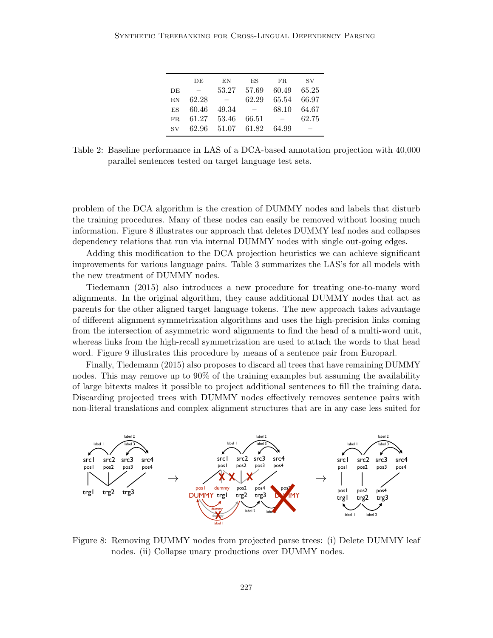|                 | DE                              | ΕN                | ES                       | FR.                      | <b>SV</b> |
|-----------------|---------------------------------|-------------------|--------------------------|--------------------------|-----------|
| DE              | $\hspace{0.1mm}-\hspace{0.1mm}$ | 53.27             | 57.69                    | 60.49                    | 65.25     |
| EN              | 62.28                           | $\hspace{0.1mm}$  | 62.29                    | 65.54                    | 66.97     |
| <b>ES</b>       | 60.46                           | 49.34             | $\overline{\phantom{m}}$ | 68.10                    | 64.67     |
| FR.             | 61.27 53.46                     |                   | 66.51                    | $\overline{\phantom{a}}$ | 62.75     |
| $\mathrm{SV}^-$ |                                 | 62.96 51.07 61.82 |                          | 64.99                    |           |

Table 2: Baseline performance in LAS of a DCA-based annotation projection with 40,000 parallel sentences tested on target language test sets.

problem of the DCA algorithm is the creation of DUMMY nodes and labels that disturb the training procedures. Many of these nodes can easily be removed without loosing much information. Figure 8 illustrates our approach that deletes DUMMY leaf nodes and collapses dependency relations that run via internal DUMMY nodes with single out-going edges.

Adding this modification to the DCA projection heuristics we can achieve significant improvements for various language pairs. Table 3 summarizes the LAS's for all models with the new treatment of DUMMY nodes.

Tiedemann (2015) also introduces a new procedure for treating one-to-many word alignments. In the original algorithm, they cause additional DUMMY nodes that act as parents for the other aligned target language tokens. The new approach takes advantage of different alignment symmetrization algorithms and uses the high-precision links coming from the intersection of asymmetric word alignments to find the head of a multi-word unit, whereas links from the high-recall symmetrization are used to attach the words to that head word. Figure 9 illustrates this procedure by means of a sentence pair from Europarl.

Finally, Tiedemann (2015) also proposes to discard all trees that have remaining DUMMY nodes. This may remove up to 90% of the training examples but assuming the availability of large bitexts makes it possible to project additional sentences to fill the training data. Discarding projected trees with DUMMY nodes effectively removes sentence pairs with non-literal translations and complex alignment structures that are in any case less suited for



Figure 8: Removing DUMMY nodes from projected parse trees: (i) Delete DUMMY leaf nodes. (ii) Collapse unary productions over DUMMY nodes.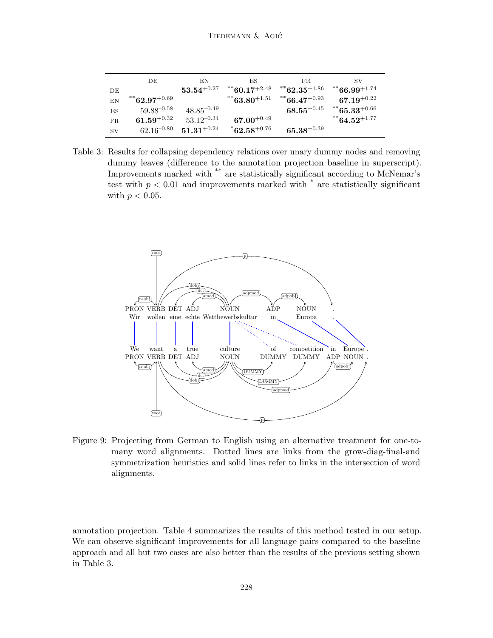|           | DE                                           | EN                       | ΕS                          | FR.                                          | SV.                      |
|-----------|----------------------------------------------|--------------------------|-----------------------------|----------------------------------------------|--------------------------|
| DE        |                                              | $\mathbf{53.54}^{+0.27}$ | $8*$ 60.17 <sup>+2.48</sup> | $^{\ast\ast}$ 62.35 $^{\mathrm{+1.86}}$      | $8*66.99^{+1.74}$        |
| EN        | $82.97^{+0.69}$                              |                          | $1*$ 63.80 <sup>+1.51</sup> | $86.47^{+0.93}$                              | $\textbf{67.19}^{+0.22}$ |
| ES        | $59.88^{-0.58}$                              | $48.85^{-0.49}$          |                             | $\textbf{68.55}^{\color{red}\textbf{+0.45}}$ | $85.33^{+0.66}$          |
| FR        | $\textbf{61.59}^{\color{red}\textbf{+0.32}}$ | $53.12^{-0.34}$          | $67.00^{+0.49}$             |                                              | $1*64.52^{+1.77}$        |
| <b>SV</b> | $62.16^{-0.80}$                              | $\mathbf{51.31}^{+0.24}$ | $^*$ 62.58 $^{+0.76}$       | $\textbf{65.38}^{+0.39}$                     |                          |

Table 3: Results for collapsing dependency relations over unary dummy nodes and removing dummy leaves (difference to the annotation projection baseline in superscript). Improvements marked with \*\* are statistically significant according to McNemar's test with  $p < 0.01$  and improvements marked with  $*$  are statistically significant with  $p < 0.05$ .



Figure 9: Projecting from German to English using an alternative treatment for one-tomany word alignments. Dotted lines are links from the grow-diag-final-and symmetrization heuristics and solid lines refer to links in the intersection of word alignments.

annotation projection. Table 4 summarizes the results of this method tested in our setup. We can observe significant improvements for all language pairs compared to the baseline approach and all but two cases are also better than the results of the previous setting shown in Table 3.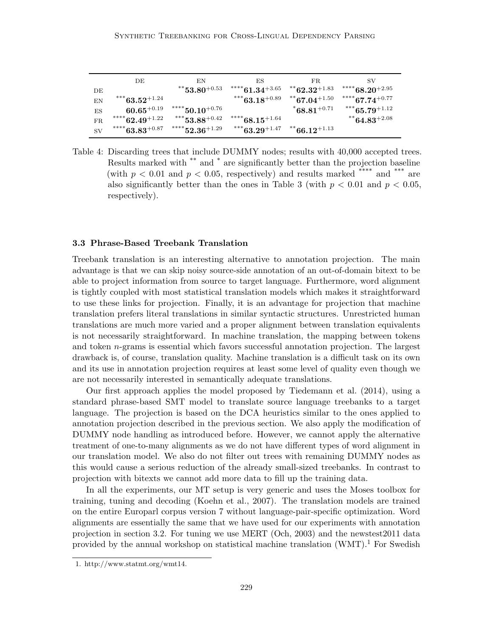|           | DЕ                                             | ΕN                                                        | ЕS                                   | FR.                        | SV                                   |
|-----------|------------------------------------------------|-----------------------------------------------------------|--------------------------------------|----------------------------|--------------------------------------|
| DЕ        |                                                | $^{\ast\ast}$ 53.80 $^{\mathrm{+0.53}}$                   | $\text{**}^*$ 61.34 $\text{+}3.65$   | $1**62.32^{+1.83}$         | $\hspace{0.1cm}^{****}68.20^{+2.95}$ |
| EN        | $***$ 63.52 $+1.24$                            |                                                           | $***63.18^{+0.89}$                   | $87.04^{+1.50}$            | $1***67.74^{+0.77}$                  |
| ES        | $\textbf{60.65}^{+0.19}$                       | $\hspace{1.5mm}^{****}50.10^{+0.76}$                      |                                      | $^*68.81^{+0.71}$          | $***65.79^{+1.12}$                   |
| FR.       | $***^{***}62.49^{+1.22}$                       | $***$ 53.88 <sup>+0.42</sup>                              | $\hspace{0.1cm}^{****}68.15^{+1.64}$ |                            | $1*64.83^{+2.08}$                    |
| <b>SV</b> | $\text{^{****}}63.83_{\textcolor{red}{+0.87}}$ | $\text{``}^{\ast\ast\ast\ast}\text{52.36}^{\text{+1.29}}$ | $***63.29^{+1.47}$                   | $^{\ast\ast}66.12^{+1.13}$ |                                      |

Table 4: Discarding trees that include DUMMY nodes; results with 40,000 accepted trees. Results marked with \*\* and \* are significantly better than the projection baseline (with  $p < 0.01$  and  $p < 0.05$ , respectively) and results marked \*\*\*\* and \*\*\* are also significantly better than the ones in Table 3 (with  $p < 0.01$  and  $p < 0.05$ , respectively).

# 3.3 Phrase-Based Treebank Translation

Treebank translation is an interesting alternative to annotation projection. The main advantage is that we can skip noisy source-side annotation of an out-of-domain bitext to be able to project information from source to target language. Furthermore, word alignment is tightly coupled with most statistical translation models which makes it straightforward to use these links for projection. Finally, it is an advantage for projection that machine translation prefers literal translations in similar syntactic structures. Unrestricted human translations are much more varied and a proper alignment between translation equivalents is not necessarily straightforward. In machine translation, the mapping between tokens and token  $n$ -grams is essential which favors successful annotation projection. The largest drawback is, of course, translation quality. Machine translation is a difficult task on its own and its use in annotation projection requires at least some level of quality even though we are not necessarily interested in semantically adequate translations.

Our first approach applies the model proposed by Tiedemann et al. (2014), using a standard phrase-based SMT model to translate source language treebanks to a target language. The projection is based on the DCA heuristics similar to the ones applied to annotation projection described in the previous section. We also apply the modification of DUMMY node handling as introduced before. However, we cannot apply the alternative treatment of one-to-many alignments as we do not have different types of word alignment in our translation model. We also do not filter out trees with remaining DUMMY nodes as this would cause a serious reduction of the already small-sized treebanks. In contrast to projection with bitexts we cannot add more data to fill up the training data.

In all the experiments, our MT setup is very generic and uses the Moses toolbox for training, tuning and decoding (Koehn et al., 2007). The translation models are trained on the entire Europarl corpus version 7 without language-pair-specific optimization. Word alignments are essentially the same that we have used for our experiments with annotation projection in section 3.2. For tuning we use MERT (Och, 2003) and the newstest2011 data provided by the annual workshop on statistical machine translation  $(WMT)$ <sup>1</sup>. For Swedish

<sup>1.</sup> http://www.statmt.org/wmt14.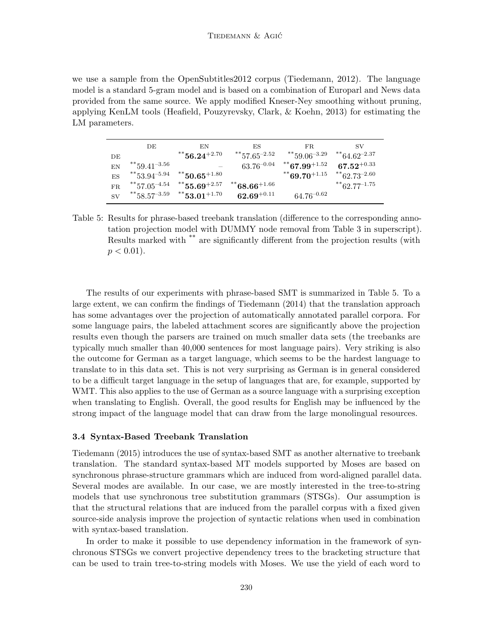we use a sample from the OpenSubtitles2012 corpus (Tiedemann, 2012). The language model is a standard 5-gram model and is based on a combination of Europarl and News data provided from the same source. We apply modified Kneser-Ney smoothing without pruning, applying KenLM tools (Heafield, Pouzyrevsky, Clark, & Koehn, 2013) for estimating the LM parameters.

|           | DE                            | EN                             | ES                       | FR.                       | SV                                           |
|-----------|-------------------------------|--------------------------------|--------------------------|---------------------------|----------------------------------------------|
| DE        |                               | $^{\ast\ast}$ 56.24 $^{+2.70}$ | $1*57.65^{-2.52}$        | ** $59.06^{-3.29}$        | $1*64.62^{-2.37}$                            |
| EN        | $*$ $59.41^{-3.56}$           |                                | $63.76^{-0.04}$          | $1*67.99^{+1.52}$         | $\textbf{67.52}^{\color{red}\textbf{+0.33}}$ |
| ES        | $***$ 53.94 <sup>-5.94</sup>  | $^{\ast\ast}50.65^{+1.80}$     |                          | ** 69.70 <sup>+1.15</sup> | **62.73 <sup>-2.60</sup>                     |
| FR.       | $1***$ 57.05 <sup>-4.54</sup> | $***$ 55.69+2.57               | $^{**}68.66^{+1.66}\,$   |                           | $1**62.77^{-1.75}$                           |
| <b>SV</b> | $1*$ 58.57 <sup>-3.59</sup>   | $8*153.01^{+1.70}$             | $\textbf{62.69}^{+0.11}$ | $64.76^{-0.62}$           |                                              |

Table 5: Results for phrase-based treebank translation (difference to the corresponding annotation projection model with DUMMY node removal from Table 3 in superscript). Results marked with \*\* are significantly different from the projection results (with  $p < 0.01$ ).

The results of our experiments with phrase-based SMT is summarized in Table 5. To a large extent, we can confirm the findings of Tiedemann (2014) that the translation approach has some advantages over the projection of automatically annotated parallel corpora. For some language pairs, the labeled attachment scores are significantly above the projection results even though the parsers are trained on much smaller data sets (the treebanks are typically much smaller than 40,000 sentences for most language pairs). Very striking is also the outcome for German as a target language, which seems to be the hardest language to translate to in this data set. This is not very surprising as German is in general considered to be a difficult target language in the setup of languages that are, for example, supported by WMT. This also applies to the use of German as a source language with a surprising exception when translating to English. Overall, the good results for English may be influenced by the strong impact of the language model that can draw from the large monolingual resources.

#### 3.4 Syntax-Based Treebank Translation

Tiedemann (2015) introduces the use of syntax-based SMT as another alternative to treebank translation. The standard syntax-based MT models supported by Moses are based on synchronous phrase-structure grammars which are induced from word-aligned parallel data. Several modes are available. In our case, we are mostly interested in the tree-to-string models that use synchronous tree substitution grammars (STSGs). Our assumption is that the structural relations that are induced from the parallel corpus with a fixed given source-side analysis improve the projection of syntactic relations when used in combination with syntax-based translation.

In order to make it possible to use dependency information in the framework of synchronous STSGs we convert projective dependency trees to the bracketing structure that can be used to train tree-to-string models with Moses. We use the yield of each word to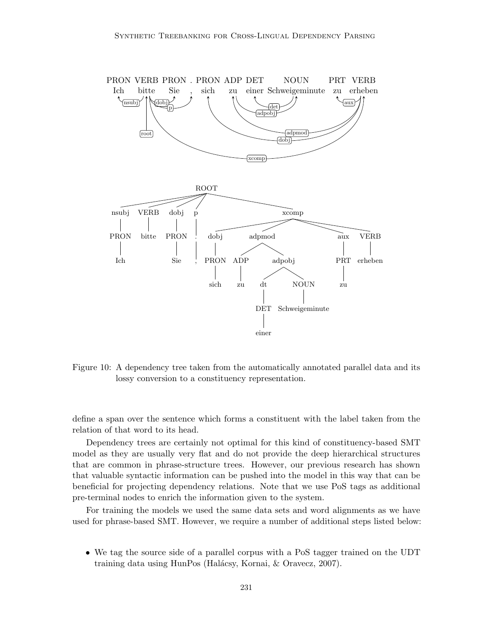

Figure 10: A dependency tree taken from the automatically annotated parallel data and its lossy conversion to a constituency representation.

define a span over the sentence which forms a constituent with the label taken from the relation of that word to its head.

Dependency trees are certainly not optimal for this kind of constituency-based SMT model as they are usually very flat and do not provide the deep hierarchical structures that are common in phrase-structure trees. However, our previous research has shown that valuable syntactic information can be pushed into the model in this way that can be beneficial for projecting dependency relations. Note that we use PoS tags as additional pre-terminal nodes to enrich the information given to the system.

For training the models we used the same data sets and word alignments as we have used for phrase-based SMT. However, we require a number of additional steps listed below:

• We tag the source side of a parallel corpus with a PoS tagger trained on the UDT training data using HunPos (Halácsy, Kornai, & Oravecz, 2007).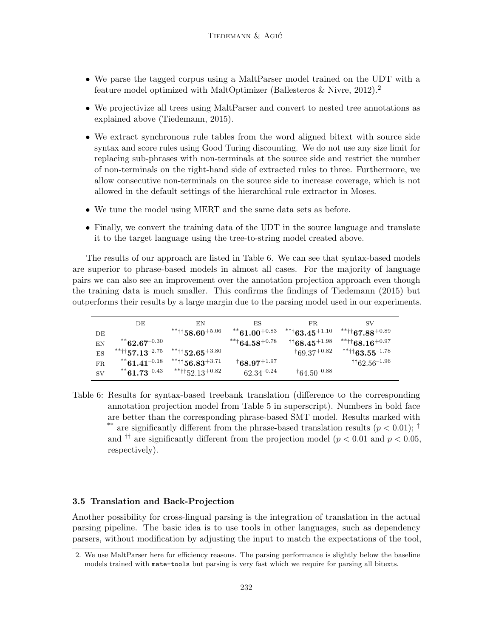- We parse the tagged corpus using a MaltParser model trained on the UDT with a feature model optimized with MaltOptimizer (Ballesteros  $\&$  Nivre, 2012).<sup>2</sup>
- We projectivize all trees using MaltParser and convert to nested tree annotations as explained above (Tiedemann, 2015).
- We extract synchronous rule tables from the word aligned bitext with source side syntax and score rules using Good Turing discounting. We do not use any size limit for replacing sub-phrases with non-terminals at the source side and restrict the number of non-terminals on the right-hand side of extracted rules to three. Furthermore, we allow consecutive non-terminals on the source side to increase coverage, which is not allowed in the default settings of the hierarchical rule extractor in Moses.
- We tune the model using MERT and the same data sets as before.
- Finally, we convert the training data of the UDT in the source language and translate it to the target language using the tree-to-string model created above.

The results of our approach are listed in Table 6. We can see that syntax-based models are superior to phrase-based models in almost all cases. For the majority of language pairs we can also see an improvement over the annotation projection approach even though the training data is much smaller. This confirms the findings of Tiedemann (2015) but outperforms their results by a large margin due to the parsing model used in our experiments.

|           | DE                                         | ΕN                                    | ΕS                           | FR.                              | SV                               |
|-----------|--------------------------------------------|---------------------------------------|------------------------------|----------------------------------|----------------------------------|
| DE        |                                            | $\text{***}$ 158.60 $\text{^{+5.06}}$ | $84*61.00^{+0.83}$           | $^{**+}63.45^{+1.10}$            | $***$ tt 67.88 $^{+0.89}$        |
| EN        | $84*62.67^{-0.30}$                         |                                       | $***$ <sup>+64.58+0.78</sup> | $^{\dagger\dagger}68.45^{+1.98}$ | $***$ tt 68.16 $^{+0.97}$        |
| ES        | $***$ tt <sub>57.13</sub> <sup>-2.75</sup> | $***$ $152.65+3.80$                   |                              | $\frac{1}{69.37}$ +0.82          | $***$ tt 63.55 $^{-1.78}$        |
| FR.       | $*$ $61.41^{-0.18}$                        | $***$ tt 56.83 <sup>+3.71</sup>       | $^{\dagger}68.97^{+1.97}$    |                                  | $^{\dagger\dagger}62.56^{-1.96}$ |
| <b>SV</b> | $81.73^{-0.43}$                            | ***+152.13 <sup>+0.82</sup>           | $62.34^{-0.24}$              | $^{\dagger}64.50^{-0.88}$        |                                  |

Table 6: Results for syntax-based treebank translation (difference to the corresponding annotation projection model from Table 5 in superscript). Numbers in bold face are better than the corresponding phrase-based SMT model. Results marked with \*\* are significantly different from the phrase-based translation results ( $p < 0.01$ ); <sup>†</sup> and <sup>††</sup> are significantly different from the projection model ( $p < 0.01$  and  $p < 0.05$ , respectively).

#### 3.5 Translation and Back-Projection

Another possibility for cross-lingual parsing is the integration of translation in the actual parsing pipeline. The basic idea is to use tools in other languages, such as dependency parsers, without modification by adjusting the input to match the expectations of the tool,

<sup>2.</sup> We use MaltParser here for efficiency reasons. The parsing performance is slightly below the baseline models trained with mate-tools but parsing is very fast which we require for parsing all bitexts.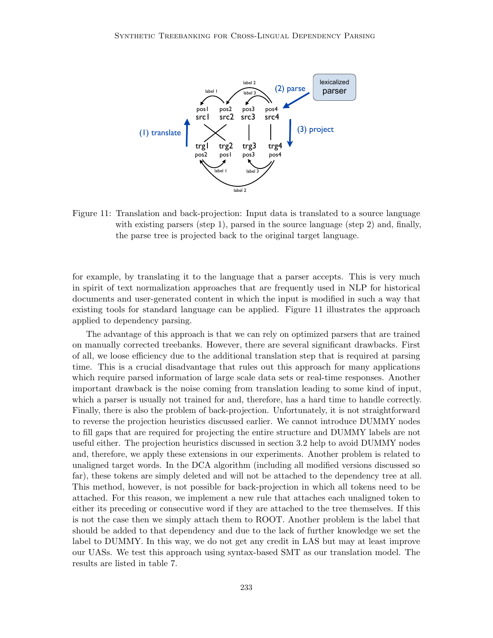

Figure 11: Translation and back-projection: Input data is translated to a source language with existing parsers (step 1), parsed in the source language (step 2) and, finally, the parse tree is projected back to the original target language.

for example, by translating it to the language that a parser accepts. This is very much in spirit of text normalization approaches that are frequently used in NLP for historical documents and user-generated content in which the input is modified in such a way that existing tools for standard language can be applied. Figure 11 illustrates the approach applied to dependency parsing.

The advantage of this approach is that we can rely on optimized parsers that are trained on manually corrected treebanks. However, there are several significant drawbacks. First of all, we loose efficiency due to the additional translation step that is required at parsing time. This is a crucial disadvantage that rules out this approach for many applications which require parsed information of large scale data sets or real-time responses. Another important drawback is the noise coming from translation leading to some kind of input, which a parser is usually not trained for and, therefore, has a hard time to handle correctly. Finally, there is also the problem of back-projection. Unfortunately, it is not straightforward to reverse the projection heuristics discussed earlier. We cannot introduce DUMMY nodes to fill gaps that are required for projecting the entire structure and DUMMY labels are not useful either. The projection heuristics discussed in section 3.2 help to avoid DUMMY nodes and, therefore, we apply these extensions in our experiments. Another problem is related to unaligned target words. In the DCA algorithm (including all modified versions discussed so far), these tokens are simply deleted and will not be attached to the dependency tree at all. This method, however, is not possible for back-projection in which all tokens need to be attached. For this reason, we implement a new rule that attaches each unaligned token to either its preceding or consecutive word if they are attached to the tree themselves. If this is not the case then we simply attach them to ROOT. Another problem is the label that should be added to that dependency and due to the lack of further knowledge we set the label to DUMMY. In this way, we do not get any credit in LAS but may at least improve our UASs. We test this approach using syntax-based SMT as our translation model. The results are listed in table 7.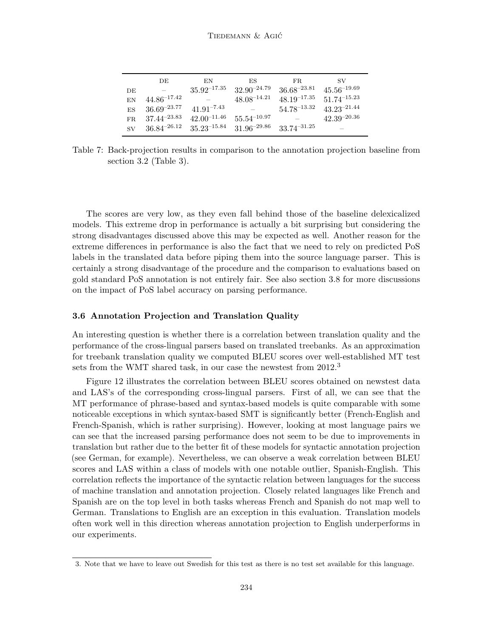|     | DE                       | EN               | ES               | FR.              | SV               |
|-----|--------------------------|------------------|------------------|------------------|------------------|
| DE  | $\overline{\phantom{a}}$ | $35.92^{-17.35}$ | $32.90^{-24.79}$ | $36.68^{-23.81}$ | $45.56^{-19.69}$ |
| ΕN  | $44.86^{-17.42}$         |                  | $48.08^{-14.21}$ | $48.19^{-17.35}$ | $51.74^{-15.23}$ |
| ES  | $36.69^{-23.77}$         | $41.91^{-7.43}$  |                  | $54.78^{-13.32}$ | $43.23^{-21.44}$ |
| FR. | $37.44^{-23.83}$         | $42.00^{-11.46}$ | $55.54^{-10.97}$ |                  | $42.39^{-20.36}$ |
| SV  | $36.84^{-26.12}$         | $35.23^{-15.84}$ | $31.96^{-29.86}$ | $33.74^{-31.25}$ |                  |

Table 7: Back-projection results in comparison to the annotation projection baseline from section 3.2 (Table 3).

The scores are very low, as they even fall behind those of the baseline delexicalized models. This extreme drop in performance is actually a bit surprising but considering the strong disadvantages discussed above this may be expected as well. Another reason for the extreme differences in performance is also the fact that we need to rely on predicted PoS labels in the translated data before piping them into the source language parser. This is certainly a strong disadvantage of the procedure and the comparison to evaluations based on gold standard PoS annotation is not entirely fair. See also section 3.8 for more discussions on the impact of PoS label accuracy on parsing performance.

#### 3.6 Annotation Projection and Translation Quality

An interesting question is whether there is a correlation between translation quality and the performance of the cross-lingual parsers based on translated treebanks. As an approximation for treebank translation quality we computed BLEU scores over well-established MT test sets from the WMT shared task, in our case the newstest from 2012.<sup>3</sup>

Figure 12 illustrates the correlation between BLEU scores obtained on newstest data and LAS's of the corresponding cross-lingual parsers. First of all, we can see that the MT performance of phrase-based and syntax-based models is quite comparable with some noticeable exceptions in which syntax-based SMT is significantly better (French-English and French-Spanish, which is rather surprising). However, looking at most language pairs we can see that the increased parsing performance does not seem to be due to improvements in translation but rather due to the better fit of these models for syntactic annotation projection (see German, for example). Nevertheless, we can observe a weak correlation between BLEU scores and LAS within a class of models with one notable outlier, Spanish-English. This correlation reflects the importance of the syntactic relation between languages for the success of machine translation and annotation projection. Closely related languages like French and Spanish are on the top level in both tasks whereas French and Spanish do not map well to German. Translations to English are an exception in this evaluation. Translation models often work well in this direction whereas annotation projection to English underperforms in our experiments.

<sup>3.</sup> Note that we have to leave out Swedish for this test as there is no test set available for this language.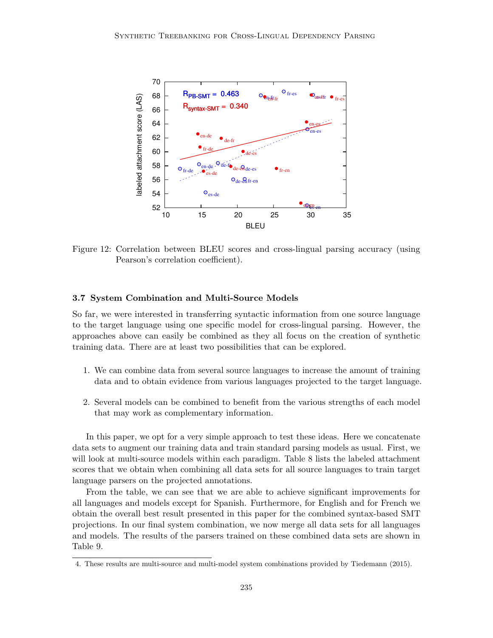

Figure 12: Correlation between BLEU scores and cross-lingual parsing accuracy (using Pearson's correlation coefficient).

# 3.7 System Combination and Multi-Source Models

So far, we were interested in transferring syntactic information from one source language to the target language using one specific model for cross-lingual parsing. However, the approaches above can easily be combined as they all focus on the creation of synthetic training data. There are at least two possibilities that can be explored.

- 1. We can combine data from several source languages to increase the amount of training data and to obtain evidence from various languages projected to the target language.
- 2. Several models can be combined to benefit from the various strengths of each model that may work as complementary information.

In this paper, we opt for a very simple approach to test these ideas. Here we concatenate data sets to augment our training data and train standard parsing models as usual. First, we will look at multi-source models within each paradigm. Table 8 lists the labeled attachment scores that we obtain when combining all data sets for all source languages to train target language parsers on the projected annotations.

From the table, we can see that we are able to achieve significant improvements for all languages and models except for Spanish. Furthermore, for English and for French we obtain the overall best result presented in this paper for the combined syntax-based SMT projections. In our final system combination, we now merge all data sets for all languages and models. The results of the parsers trained on these combined data sets are shown in Table 9.

<sup>4.</sup> These results are multi-source and multi-model system combinations provided by Tiedemann (2015).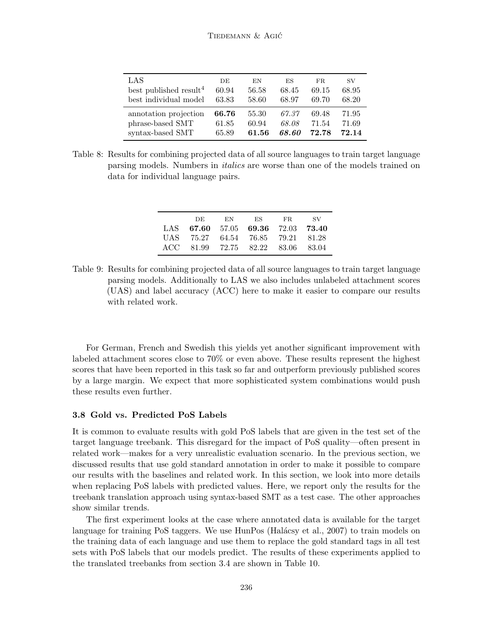| LAS                                | DE    | EN    | ES    | FR.   | SV    |
|------------------------------------|-------|-------|-------|-------|-------|
| best published result <sup>4</sup> | 60.94 | 56.58 | 68.45 | 69.15 | 68.95 |
| best individual model              | 63.83 | 58.60 | 68.97 | 69.70 | 68.20 |
| annotation projection              | 66.76 | 55.30 | 67.37 | 69.48 | 71.95 |
| phrase-based SMT                   | 61.85 | 60.94 | 68.08 | 71.54 | 71.69 |
| syntax-based SMT                   | 65.89 | 61.56 | 68.60 | 72.78 | 72.14 |

Table 8: Results for combining projected data of all source languages to train target language parsing models. Numbers in italics are worse than one of the models trained on data for individual language pairs.

|  |  | DE EN ES FR SV<br>LAS 67.60 57.05 69.36 72.03 73.40<br>UAS 75.27 64.54 76.85 79.21 81.28<br>ACC 81.99 72.75 82.22 83.06 83.04 |
|--|--|-------------------------------------------------------------------------------------------------------------------------------|

Table 9: Results for combining projected data of all source languages to train target language parsing models. Additionally to LAS we also includes unlabeled attachment scores (UAS) and label accuracy (ACC) here to make it easier to compare our results with related work.

For German, French and Swedish this yields yet another significant improvement with labeled attachment scores close to 70% or even above. These results represent the highest scores that have been reported in this task so far and outperform previously published scores by a large margin. We expect that more sophisticated system combinations would push these results even further.

#### 3.8 Gold vs. Predicted PoS Labels

It is common to evaluate results with gold PoS labels that are given in the test set of the target language treebank. This disregard for the impact of PoS quality—often present in related work—makes for a very unrealistic evaluation scenario. In the previous section, we discussed results that use gold standard annotation in order to make it possible to compare our results with the baselines and related work. In this section, we look into more details when replacing PoS labels with predicted values. Here, we report only the results for the treebank translation approach using syntax-based SMT as a test case. The other approaches show similar trends.

The first experiment looks at the case where annotated data is available for the target language for training PoS taggers. We use HunPos (Halácsy et al., 2007) to train models on the training data of each language and use them to replace the gold standard tags in all test sets with PoS labels that our models predict. The results of these experiments applied to the translated treebanks from section 3.4 are shown in Table 10.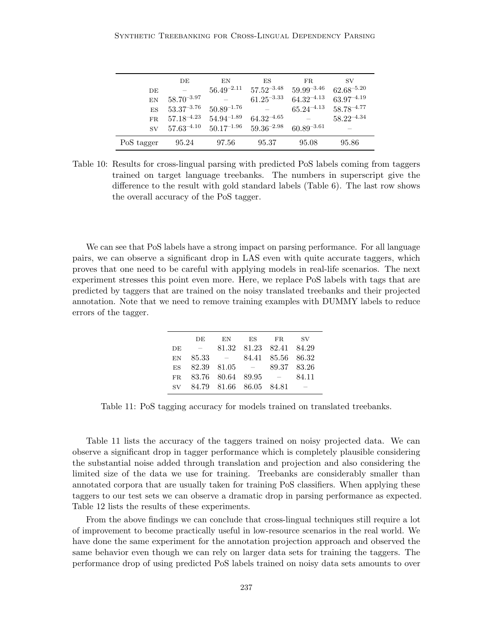|            | DE                           | EN              | ES              | FR.             | <b>SV</b>       |
|------------|------------------------------|-----------------|-----------------|-----------------|-----------------|
| DE         |                              | $56.49^{-2.11}$ | $57.52^{-3.48}$ | $59.99^{-3.46}$ | $62.68^{-5.20}$ |
| EN         | $58.70^{-3.97}$              |                 | $61.25^{-3.33}$ | $64.32^{-4.13}$ | $63.97^{-4.19}$ |
| ES         | $53.37^{\scriptstyle -3.76}$ | $50.89^{-1.76}$ |                 | $65.24^{-4.13}$ | $58.78^{-4.77}$ |
| FR         | $57.18^{-4.23}$              | $54.94^{-1.89}$ | $64.32^{-4.65}$ |                 | $58.22^{-4.34}$ |
| <b>SV</b>  | $57.63^{-4.10}$              | $50.17^{-1.96}$ | $59.36^{-2.98}$ | $60.89^{-3.61}$ |                 |
| PoS tagger | 95.24                        | 97.56           | 95.37           | 95.08           | 95.86           |

Table 10: Results for cross-lingual parsing with predicted PoS labels coming from taggers trained on target language treebanks. The numbers in superscript give the difference to the result with gold standard labels (Table 6). The last row shows the overall accuracy of the PoS tagger.

We can see that PoS labels have a strong impact on parsing performance. For all language pairs, we can observe a significant drop in LAS even with quite accurate taggers, which proves that one need to be careful with applying models in real-life scenarios. The next experiment stresses this point even more. Here, we replace PoS labels with tags that are predicted by taggers that are trained on the noisy translated treebanks and their projected annotation. Note that we need to remove training examples with DUMMY labels to reduce errors of the tagger.

|    | DE.                          | EN         | ES | FR.                     | – SV                     |
|----|------------------------------|------------|----|-------------------------|--------------------------|
| DE | $\sim$                       |            |    | 81.32 81.23 82.41 84.29 |                          |
| EN | -85.33                       | $\sim$ $-$ |    | 84.41 85.56 86.32       |                          |
|    | $ES$ 82.39 81.05 $-$         |            |    | 89.37 83.26             |                          |
|    | FR $83.76$ $80.64$ $89.95$ - |            |    |                         | 84.11                    |
|    | sv 84.79 81.66 86.05 84.81   |            |    |                         | $\overline{\phantom{a}}$ |

Table 11: PoS tagging accuracy for models trained on translated treebanks.

Table 11 lists the accuracy of the taggers trained on noisy projected data. We can observe a significant drop in tagger performance which is completely plausible considering the substantial noise added through translation and projection and also considering the limited size of the data we use for training. Treebanks are considerably smaller than annotated corpora that are usually taken for training PoS classifiers. When applying these taggers to our test sets we can observe a dramatic drop in parsing performance as expected. Table 12 lists the results of these experiments.

From the above findings we can conclude that cross-lingual techniques still require a lot of improvement to become practically useful in low-resource scenarios in the real world. We have done the same experiment for the annotation projection approach and observed the same behavior even though we can rely on larger data sets for training the taggers. The performance drop of using predicted PoS labels trained on noisy data sets amounts to over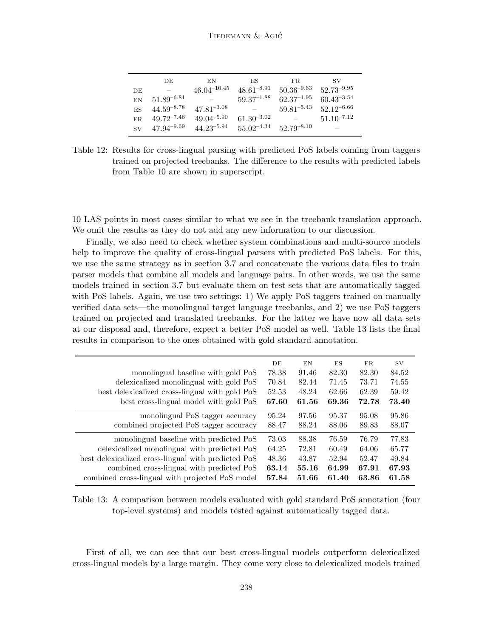|     | DE              | ΕN               | ES              | FR.             | SV                       |
|-----|-----------------|------------------|-----------------|-----------------|--------------------------|
| DE  |                 | $46.04^{-10.45}$ | $48.61^{-8.91}$ | $50.36^{-9.63}$ | $52.73^{-9.95}$          |
| EN  | $51.89^{-6.81}$ |                  | $59.37^{-1.88}$ | $62.37^{-1.95}$ | $60.43^{-3.54}$          |
| ES  | $44.59^{-8.78}$ | $47.81^{-3.08}$  |                 | $59.81^{-5.43}$ | $52.12^{-6.66}$          |
| FR. | $49.72^{-7.46}$ | $49.04^{-5.90}$  | $61.30^{-3.02}$ |                 | $51.10^{-7.12}$          |
| SV. | $47.94^{-9.69}$ | $44.23^{-5.94}$  | $55.02^{-4.34}$ | $52.79^{-8.10}$ | $\overline{\phantom{a}}$ |

Table 12: Results for cross-lingual parsing with predicted PoS labels coming from taggers trained on projected treebanks. The difference to the results with predicted labels from Table 10 are shown in superscript.

10 LAS points in most cases similar to what we see in the treebank translation approach. We omit the results as they do not add any new information to our discussion.

Finally, we also need to check whether system combinations and multi-source models help to improve the quality of cross-lingual parsers with predicted PoS labels. For this, we use the same strategy as in section 3.7 and concatenate the various data files to train parser models that combine all models and language pairs. In other words, we use the same models trained in section 3.7 but evaluate them on test sets that are automatically tagged with PoS labels. Again, we use two settings: 1) We apply PoS taggers trained on manually verified data sets—the monolingual target language treebanks, and 2) we use PoS taggers trained on projected and translated treebanks. For the latter we have now all data sets at our disposal and, therefore, expect a better PoS model as well. Table 13 lists the final results in comparison to the ones obtained with gold standard annotation.

|                                                     | DE    | EN    | ES    | $_{\rm FR}$ | SV.   |
|-----------------------------------------------------|-------|-------|-------|-------------|-------|
| monolingual baseline with gold PoS                  | 78.38 | 91.46 | 82.30 | 82.30       | 84.52 |
| delexicalized monolingual with gold PoS             | 70.84 | 82.44 | 71.45 | 73.71       | 74.55 |
| best delexicalized cross-lingual with gold PoS      | 52.53 | 48.24 | 62.66 | 62.39       | 59.42 |
| best cross-lingual model with gold PoS              | 67.60 | 61.56 | 69.36 | 72.78       | 73.40 |
| monolingual PoS tagger accuracy                     | 95.24 | 97.56 | 95.37 | 95.08       | 95.86 |
| combined projected PoS tagger accuracy              | 88.47 | 88.24 | 88.06 | 89.83       | 88.07 |
| monolingual baseline with predicted PoS             | 73.03 | 88.38 | 76.59 | 76.79       | 77.83 |
| delexicalized monolingual with predicted PoS        | 64.25 | 72.81 | 60.49 | 64.06       | 65.77 |
| best delexicalized cross-lingual with predicted PoS | 48.36 | 43.87 | 52.94 | 52.47       | 49.84 |
| combined cross-lingual with predicted PoS           | 63.14 | 55.16 | 64.99 | 67.91       | 67.93 |
| combined cross-lingual with projected PoS model     | 57.84 | 51.66 | 61.40 | 63.86       | 61.58 |

Table 13: A comparison between models evaluated with gold standard PoS annotation (four top-level systems) and models tested against automatically tagged data.

First of all, we can see that our best cross-lingual models outperform delexicalized cross-lingual models by a large margin. They come very close to delexicalized models trained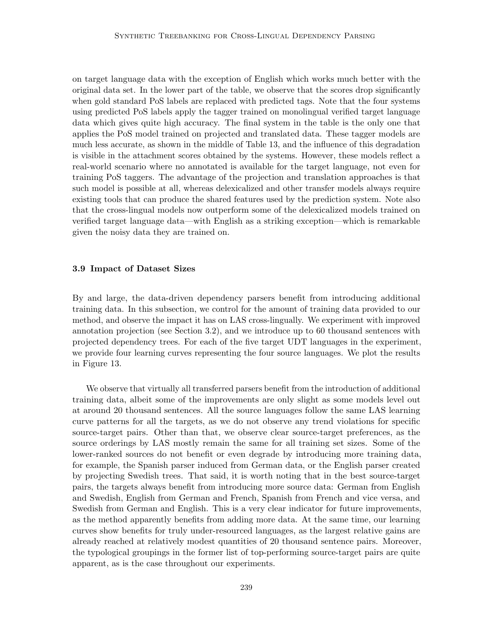on target language data with the exception of English which works much better with the original data set. In the lower part of the table, we observe that the scores drop significantly when gold standard PoS labels are replaced with predicted tags. Note that the four systems using predicted PoS labels apply the tagger trained on monolingual verified target language data which gives quite high accuracy. The final system in the table is the only one that applies the PoS model trained on projected and translated data. These tagger models are much less accurate, as shown in the middle of Table 13, and the influence of this degradation is visible in the attachment scores obtained by the systems. However, these models reflect a real-world scenario where no annotated is available for the target language, not even for training PoS taggers. The advantage of the projection and translation approaches is that such model is possible at all, whereas delexicalized and other transfer models always require existing tools that can produce the shared features used by the prediction system. Note also that the cross-lingual models now outperform some of the delexicalized models trained on verified target language data—with English as a striking exception—which is remarkable given the noisy data they are trained on.

#### 3.9 Impact of Dataset Sizes

By and large, the data-driven dependency parsers benefit from introducing additional training data. In this subsection, we control for the amount of training data provided to our method, and observe the impact it has on LAS cross-lingually. We experiment with improved annotation projection (see Section 3.2), and we introduce up to 60 thousand sentences with projected dependency trees. For each of the five target UDT languages in the experiment, we provide four learning curves representing the four source languages. We plot the results in Figure 13.

We observe that virtually all transferred parsers benefit from the introduction of additional training data, albeit some of the improvements are only slight as some models level out at around 20 thousand sentences. All the source languages follow the same LAS learning curve patterns for all the targets, as we do not observe any trend violations for specific source-target pairs. Other than that, we observe clear source-target preferences, as the source orderings by LAS mostly remain the same for all training set sizes. Some of the lower-ranked sources do not benefit or even degrade by introducing more training data, for example, the Spanish parser induced from German data, or the English parser created by projecting Swedish trees. That said, it is worth noting that in the best source-target pairs, the targets always benefit from introducing more source data: German from English and Swedish, English from German and French, Spanish from French and vice versa, and Swedish from German and English. This is a very clear indicator for future improvements, as the method apparently benefits from adding more data. At the same time, our learning curves show benefits for truly under-resourced languages, as the largest relative gains are already reached at relatively modest quantities of 20 thousand sentence pairs. Moreover, the typological groupings in the former list of top-performing source-target pairs are quite apparent, as is the case throughout our experiments.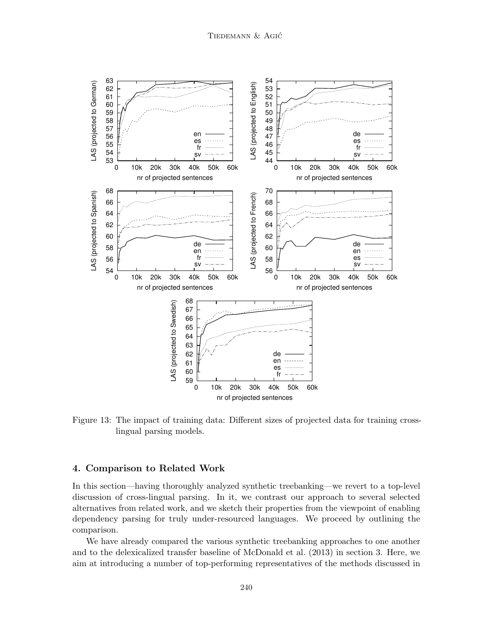

Figure 13: The impact of training data: Different sizes of projected data for training crosslingual parsing models.

### 4. Comparison to Related Work

In this section—having thoroughly analyzed synthetic treebanking—we revert to a top-level discussion of cross-lingual parsing. In it, we contrast our approach to several selected alternatives from related work, and we sketch their properties from the viewpoint of enabling dependency parsing for truly under-resourced languages. We proceed by outlining the comparison.

We have already compared the various synthetic treebanking approaches to one another and to the delexicalized transfer baseline of McDonald et al. (2013) in section 3. Here, we aim at introducing a number of top-performing representatives of the methods discussed in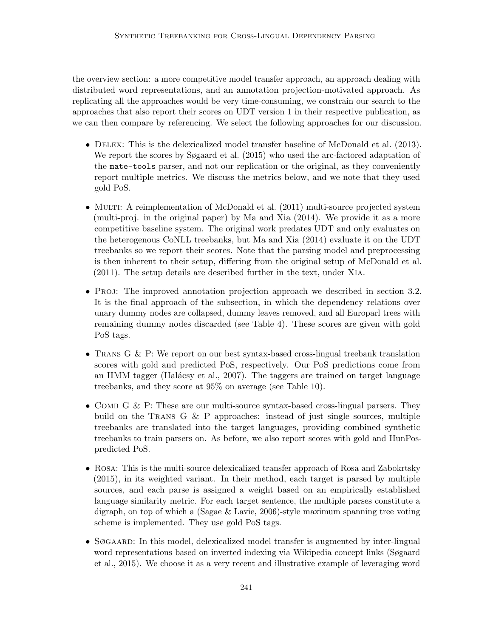the overview section: a more competitive model transfer approach, an approach dealing with distributed word representations, and an annotation projection-motivated approach. As replicating all the approaches would be very time-consuming, we constrain our search to the approaches that also report their scores on UDT version 1 in their respective publication, as we can then compare by referencing. We select the following approaches for our discussion.

- DELEX: This is the delexicalized model transfer baseline of McDonald et al. (2013). We report the scores by Søgaard et al. (2015) who used the arc-factored adaptation of the mate-tools parser, and not our replication or the original, as they conveniently report multiple metrics. We discuss the metrics below, and we note that they used gold PoS.
- MULTI: A reimplementation of McDonald et al. (2011) multi-source projected system (multi-proj. in the original paper) by Ma and Xia (2014). We provide it as a more competitive baseline system. The original work predates UDT and only evaluates on the heterogenous CoNLL treebanks, but Ma and Xia (2014) evaluate it on the UDT treebanks so we report their scores. Note that the parsing model and preprocessing is then inherent to their setup, differing from the original setup of McDonald et al. (2011). The setup details are described further in the text, under Xia.
- Proj: The improved annotation projection approach we described in section 3.2. It is the final approach of the subsection, in which the dependency relations over unary dummy nodes are collapsed, dummy leaves removed, and all Europarl trees with remaining dummy nodes discarded (see Table 4). These scores are given with gold PoS tags.
- Trans G & P: We report on our best syntax-based cross-lingual treebank translation scores with gold and predicted PoS, respectively. Our PoS predictions come from an HMM tagger (Halácsy et al.,  $2007$ ). The taggers are trained on target language treebanks, and they score at 95% on average (see Table 10).
- COMB G & P: These are our multi-source syntax-based cross-lingual parsers. They build on the TRANS G  $\&$  P approaches: instead of just single sources, multiple treebanks are translated into the target languages, providing combined synthetic treebanks to train parsers on. As before, we also report scores with gold and HunPospredicted PoS.
- Rosa: This is the multi-source delexicalized transfer approach of Rosa and Zabokrtsky (2015), in its weighted variant. In their method, each target is parsed by multiple sources, and each parse is assigned a weight based on an empirically established language similarity metric. For each target sentence, the multiple parses constitute a digraph, on top of which a (Sagae & Lavie, 2006)-style maximum spanning tree voting scheme is implemented. They use gold PoS tags.
- Søgaard: In this model, delexicalized model transfer is augmented by inter-lingual word representations based on inverted indexing via Wikipedia concept links (Søgaard et al., 2015). We choose it as a very recent and illustrative example of leveraging word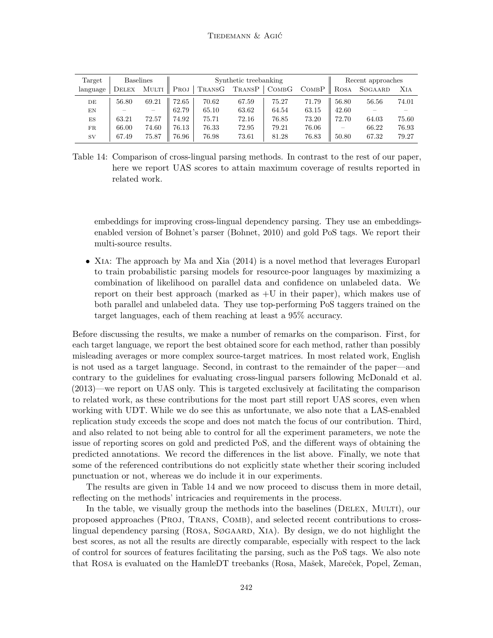| Target    |              | <b>Baselines</b> |       |        | Synthetic treebanking |       |       | Recent approaches |         |       |
|-----------|--------------|------------------|-------|--------|-----------------------|-------|-------|-------------------|---------|-------|
| language  | <b>DELEX</b> | MULTI            | Proj  | TRANSG | TRANSP                | COMBG | COMBP | ROSA              | SØGAARD | XIA   |
| DE        | 56.80        | 69.21            | 72.65 | 70.62  | 67.59                 | 75.27 | 71.79 | 56.80             | 56.56   | 74.01 |
| ΕN        |              |                  | 62.79 | 65.10  | 63.62                 | 64.54 | 63.15 | 42.60             |         |       |
| ES        | 63.21        | 72.57            | 74.92 | 75.71  | 72.16                 | 76.85 | 73.20 | 72.70             | 64.03   | 75.60 |
| FR        | 66.00        | 74.60            | 76.13 | 76.33  | 72.95                 | 79.21 | 76.06 |                   | 66.22   | 76.93 |
| <b>SV</b> | 67.49        | 75.87            | 76.96 | 76.98  | 73.61                 | 81.28 | 76.83 | 50.80             | 67.32   | 79.27 |

Table 14: Comparison of cross-lingual parsing methods. In contrast to the rest of our paper, here we report UAS scores to attain maximum coverage of results reported in related work.

embeddings for improving cross-lingual dependency parsing. They use an embeddingsenabled version of Bohnet's parser (Bohnet, 2010) and gold PoS tags. We report their multi-source results.

• XIA: The approach by Ma and Xia (2014) is a novel method that leverages Europarl to train probabilistic parsing models for resource-poor languages by maximizing a combination of likelihood on parallel data and confidence on unlabeled data. We report on their best approach (marked as  $+U$  in their paper), which makes use of both parallel and unlabeled data. They use top-performing PoS taggers trained on the target languages, each of them reaching at least a 95% accuracy.

Before discussing the results, we make a number of remarks on the comparison. First, for each target language, we report the best obtained score for each method, rather than possibly misleading averages or more complex source-target matrices. In most related work, English is not used as a target language. Second, in contrast to the remainder of the paper—and contrary to the guidelines for evaluating cross-lingual parsers following McDonald et al. (2013)—we report on UAS only. This is targeted exclusively at facilitating the comparison to related work, as these contributions for the most part still report UAS scores, even when working with UDT. While we do see this as unfortunate, we also note that a LAS-enabled replication study exceeds the scope and does not match the focus of our contribution. Third, and also related to not being able to control for all the experiment parameters, we note the issue of reporting scores on gold and predicted PoS, and the different ways of obtaining the predicted annotations. We record the differences in the list above. Finally, we note that some of the referenced contributions do not explicitly state whether their scoring included punctuation or not, whereas we do include it in our experiments.

The results are given in Table 14 and we now proceed to discuss them in more detail, reflecting on the methods' intricacies and requirements in the process.

In the table, we visually group the methods into the baselines (DELEX, MULTI), our proposed approaches (Proj, Trans, Comb), and selected recent contributions to crosslingual dependency parsing (ROSA, SØGAARD, XIA). By design, we do not highlight the best scores, as not all the results are directly comparable, especially with respect to the lack of control for sources of features facilitating the parsing, such as the PoS tags. We also note that ROSA is evaluated on the HamleDT treebanks (Rosa, Mašek, Mareček, Popel, Zeman,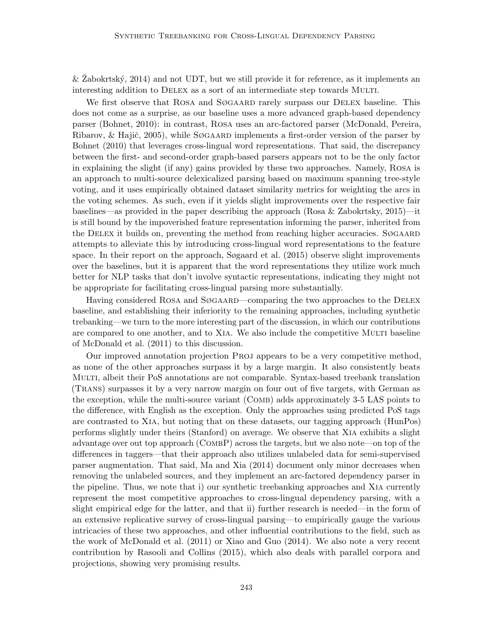$&$  Zabokrtský, 2014) and not UDT, but we still provide it for reference, as it implements an interesting addition to DELEX as a sort of an intermediate step towards MULTI.

We first observe that ROSA and SØGAARD rarely surpass our DELEX baseline. This does not come as a surprise, as our baseline uses a more advanced graph-based dependency parser (Bohnet, 2010): in contrast, Rosa uses an arc-factored parser (McDonald, Pereira, Ribarov, & Hajič, 2005), while SØGAARD implements a first-order version of the parser by Bohnet (2010) that leverages cross-lingual word representations. That said, the discrepancy between the first- and second-order graph-based parsers appears not to be the only factor in explaining the slight (if any) gains provided by these two approaches. Namely, Rosa is an approach to multi-source delexicalized parsing based on maximum spanning tree-style voting, and it uses empirically obtained dataset similarity metrics for weighting the arcs in the voting schemes. As such, even if it yields slight improvements over the respective fair baselines—as provided in the paper describing the approach (Rosa & Zabokrtsky, 2015)—it is still bound by the impoverished feature representation informing the parser, inherited from the DELEX it builds on, preventing the method from reaching higher accuracies.  $S\varnothing$ GAARD attempts to alleviate this by introducing cross-lingual word representations to the feature space. In their report on the approach, Søgaard et al. (2015) observe slight improvements over the baselines, but it is apparent that the word representations they utilize work much better for NLP tasks that don't involve syntactic representations, indicating they might not be appropriate for facilitating cross-lingual parsing more substantially.

Having considered ROSA and SØGAARD—comparing the two approaches to the DELEX baseline, and establishing their inferiority to the remaining approaches, including synthetic trebanking—we turn to the more interesting part of the discussion, in which our contributions are compared to one another, and to XIA. We also include the competitive MULTI baseline of McDonald et al. (2011) to this discussion.

Our improved annotation projection Proj appears to be a very competitive method, as none of the other approaches surpass it by a large margin. It also consistently beats Multi, albeit their PoS annotations are not comparable. Syntax-based treebank translation (Trans) surpasses it by a very narrow margin on four out of five targets, with German as the exception, while the multi-source variant (Comb) adds approximately 3-5 LAS points to the difference, with English as the exception. Only the approaches using predicted PoS tags are contrasted to Xia, but noting that on these datasets, our tagging approach (HunPos) performs slightly under theirs (Stanford) on average. We observe that Xia exhibits a slight advantage over out top approach ( $\text{COMBP}$ ) across the targets, but we also note—on top of the differences in taggers—that their approach also utilizes unlabeled data for semi-supervised parser augmentation. That said, Ma and Xia (2014) document only minor decreases when removing the unlabeled sources, and they implement an arc-factored dependency parser in the pipeline. Thus, we note that i) our synthetic treebanking approaches and Xia currently represent the most competitive approaches to cross-lingual dependency parsing, with a slight empirical edge for the latter, and that ii) further research is needed—in the form of an extensive replicative survey of cross-lingual parsing—to empirically gauge the various intricacies of these two approaches, and other influential contributions to the field, such as the work of McDonald et al. (2011) or Xiao and Guo (2014). We also note a very recent contribution by Rasooli and Collins (2015), which also deals with parallel corpora and projections, showing very promising results.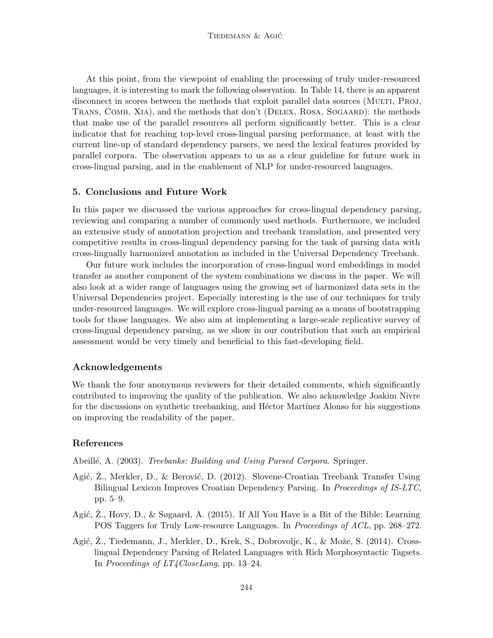At this point, from the viewpoint of enabling the processing of truly under-resourced languages, it is interesting to mark the following observation. In Table 14, there is an apparent disconnect in scores between the methods that exploit parallel data sources (MULTI, PROJ, TRANS, COMB, XIA), and the methods that don't (DELEX, ROSA, SØGAARD): the methods that make use of the parallel resources all perform significantly better. This is a clear indicator that for reaching top-level cross-lingual parsing performance, at least with the current line-up of standard dependency parsers, we need the lexical features provided by parallel corpora. The observation appears to us as a clear guideline for future work in cross-lingual parsing, and in the enablement of NLP for under-resourced languages.

# 5. Conclusions and Future Work

In this paper we discussed the various approaches for cross-lingual dependency parsing, reviewing and comparing a number of commonly used methods. Furthermore, we included an extensive study of annotation projection and treebank translation, and presented very competitive results in cross-lingual dependency parsing for the task of parsing data with cross-lingually harmonized annotation as included in the Universal Dependency Treebank.

Our future work includes the incorporation of cross-lingual word embeddings in model transfer as another component of the system combinations we discuss in the paper. We will also look at a wider range of languages using the growing set of harmonized data sets in the Universal Dependencies project. Especially interesting is the use of our techniques for truly under-resourced languages. We will explore cross-lingual parsing as a means of bootstrapping tools for those languages. We also aim at implementing a large-scale replicative survey of cross-lingual dependency parsing, as we show in our contribution that such an empirical assessment would be very timely and beneficial to this fast-developing field.

# Acknowledgements

We thank the four anonymous reviewers for their detailed comments, which significantly contributed to improving the quality of the publication. We also acknowledge Joakim Nivre for the discussions on synthetic treebanking, and Héctor Martínez Alonso for his suggestions on improving the readability of the paper.

# References

Abeillé, A. (2003). *Treebanks: Building and Using Parsed Corpora*. Springer.

- Agić, Z., Merkler, D., & Berović, D. (2012). Slovene-Croatian Treebank Transfer Using Bilingual Lexicon Improves Croatian Dependency Parsing. In Proceedings of IS-LTC, pp. 5–9.
- Agić,  $\ddot{Z}$ ., Hovy, D., & Søgaard, A. (2015). If All You Have is a Bit of the Bible: Learning POS Taggers for Truly Low-resource Languages. In Proceedings of ACL, pp. 268–272.
- Agić, Z., Tiedemann, J., Merkler, D., Krek, S., Dobrovoljc, K., & Može, S. (2014). Crosslingual Dependency Parsing of Related Languages with Rich Morphosyntactic Tagsets. In Proceedings of LT4CloseLang, pp. 13–24.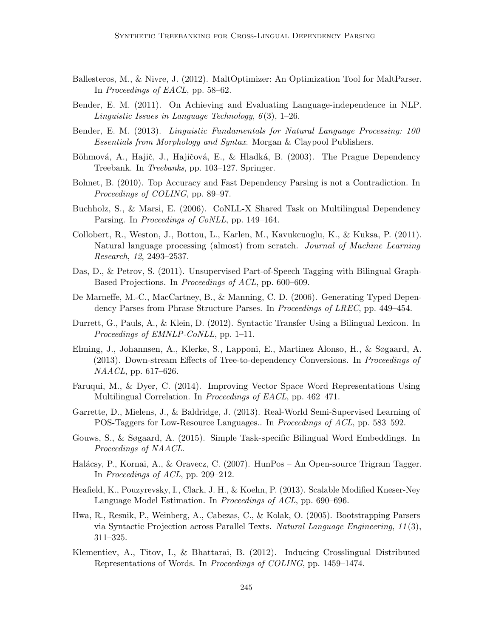- Ballesteros, M., & Nivre, J. (2012). MaltOptimizer: An Optimization Tool for MaltParser. In Proceedings of EACL, pp. 58–62.
- Bender, E. M. (2011). On Achieving and Evaluating Language-independence in NLP. Linguistic Issues in Language Technology,  $6(3)$ , 1–26.
- Bender, E. M. (2013). Linguistic Fundamentals for Natural Language Processing: 100 Essentials from Morphology and Syntax. Morgan & Claypool Publishers.
- Böhmová, A., Hajič, J., Hajičová, E., & Hladká, B. (2003). The Prague Dependency Treebank. In Treebanks, pp. 103–127. Springer.
- Bohnet, B. (2010). Top Accuracy and Fast Dependency Parsing is not a Contradiction. In Proceedings of COLING, pp. 89–97.
- Buchholz, S., & Marsi, E. (2006). CoNLL-X Shared Task on Multilingual Dependency Parsing. In *Proceedings of CoNLL*, pp. 149–164.
- Collobert, R., Weston, J., Bottou, L., Karlen, M., Kavukcuoglu, K., & Kuksa, P. (2011). Natural language processing (almost) from scratch. Journal of Machine Learning Research, 12, 2493–2537.
- Das, D., & Petrov, S. (2011). Unsupervised Part-of-Speech Tagging with Bilingual Graph-Based Projections. In Proceedings of ACL, pp. 600–609.
- De Marneffe, M.-C., MacCartney, B., & Manning, C. D. (2006). Generating Typed Dependency Parses from Phrase Structure Parses. In *Proceedings of LREC*, pp. 449–454.
- Durrett, G., Pauls, A., & Klein, D. (2012). Syntactic Transfer Using a Bilingual Lexicon. In Proceedings of EMNLP-CoNLL, pp. 1–11.
- Elming, J., Johannsen, A., Klerke, S., Lapponi, E., Martinez Alonso, H., & Søgaard, A. (2013). Down-stream Effects of Tree-to-dependency Conversions. In Proceedings of NAACL, pp. 617–626.
- Faruqui, M., & Dyer, C. (2014). Improving Vector Space Word Representations Using Multilingual Correlation. In *Proceedings of EACL*, pp. 462–471.
- Garrette, D., Mielens, J., & Baldridge, J. (2013). Real-World Semi-Supervised Learning of POS-Taggers for Low-Resource Languages.. In *Proceedings of ACL*, pp. 583–592.
- Gouws, S., & Søgaard, A. (2015). Simple Task-specific Bilingual Word Embeddings. In Proceedings of NAACL.
- Halácsy, P., Kornai, A., & Oravecz, C. (2007). HunPos An Open-source Trigram Tagger. In Proceedings of ACL, pp. 209–212.
- Heafield, K., Pouzyrevsky, I., Clark, J. H., & Koehn, P. (2013). Scalable Modified Kneser-Ney Language Model Estimation. In Proceedings of ACL, pp. 690–696.
- Hwa, R., Resnik, P., Weinberg, A., Cabezas, C., & Kolak, O. (2005). Bootstrapping Parsers via Syntactic Projection across Parallel Texts. Natural Language Engineering, 11 (3), 311–325.
- Klementiev, A., Titov, I., & Bhattarai, B. (2012). Inducing Crosslingual Distributed Representations of Words. In Proceedings of COLING, pp. 1459–1474.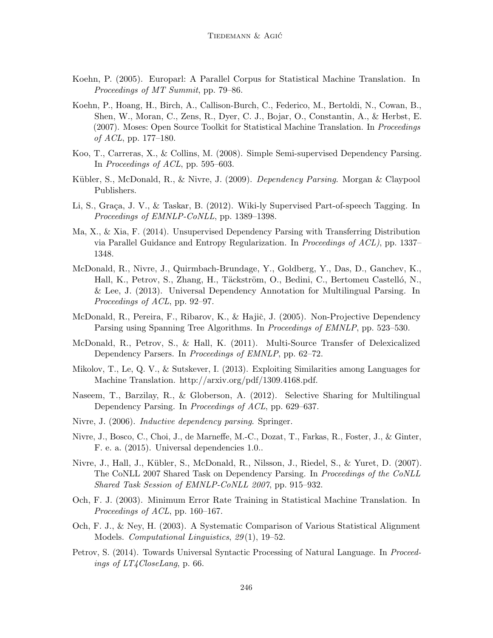- Koehn, P. (2005). Europarl: A Parallel Corpus for Statistical Machine Translation. In Proceedings of MT Summit, pp. 79–86.
- Koehn, P., Hoang, H., Birch, A., Callison-Burch, C., Federico, M., Bertoldi, N., Cowan, B., Shen, W., Moran, C., Zens, R., Dyer, C. J., Bojar, O., Constantin, A., & Herbst, E. (2007). Moses: Open Source Toolkit for Statistical Machine Translation. In *Proceedings* of  $ACL$ , pp. 177–180.
- Koo, T., Carreras, X., & Collins, M. (2008). Simple Semi-supervised Dependency Parsing. In Proceedings of ACL, pp. 595–603.
- Kübler, S., McDonald, R., & Nivre, J. (2009). *Dependency Parsing*. Morgan & Claypool Publishers.
- Li, S., Graça, J. V., & Taskar, B. (2012). Wiki-ly Supervised Part-of-speech Tagging. In Proceedings of EMNLP-CoNLL, pp. 1389–1398.
- Ma, X., & Xia, F. (2014). Unsupervised Dependency Parsing with Transferring Distribution via Parallel Guidance and Entropy Regularization. In Proceedings of ACL), pp. 1337– 1348.
- McDonald, R., Nivre, J., Quirmbach-Brundage, Y., Goldberg, Y., Das, D., Ganchev, K., Hall, K., Petrov, S., Zhang, H., Täckström, O., Bedini, C., Bertomeu Castelló, N., & Lee, J. (2013). Universal Dependency Annotation for Multilingual Parsing. In Proceedings of ACL, pp. 92–97.
- McDonald, R., Pereira, F., Ribarov, K., & Hajič, J. (2005). Non-Projective Dependency Parsing using Spanning Tree Algorithms. In Proceedings of EMNLP, pp. 523–530.
- McDonald, R., Petrov, S., & Hall, K. (2011). Multi-Source Transfer of Delexicalized Dependency Parsers. In *Proceedings of EMNLP*, pp. 62–72.
- Mikolov, T., Le, Q. V., & Sutskever, I. (2013). Exploiting Similarities among Languages for Machine Translation. http://arxiv.org/pdf/1309.4168.pdf.
- Naseem, T., Barzilay, R., & Globerson, A. (2012). Selective Sharing for Multilingual Dependency Parsing. In Proceedings of ACL, pp. 629–637.
- Nivre, J. (2006). Inductive dependency parsing. Springer.
- Nivre, J., Bosco, C., Choi, J., de Marneffe, M.-C., Dozat, T., Farkas, R., Foster, J., & Ginter, F. e. a. (2015). Universal dependencies 1.0..
- Nivre, J., Hall, J., Kübler, S., McDonald, R., Nilsson, J., Riedel, S., & Yuret, D. (2007). The CoNLL 2007 Shared Task on Dependency Parsing. In Proceedings of the CoNLL Shared Task Session of EMNLP-CoNLL 2007, pp. 915–932.
- Och, F. J. (2003). Minimum Error Rate Training in Statistical Machine Translation. In Proceedings of ACL, pp. 160–167.
- Och, F. J., & Ney, H. (2003). A Systematic Comparison of Various Statistical Alignment Models. Computational Linguistics, 29(1), 19–52.
- Petrov, S. (2014). Towards Universal Syntactic Processing of Natural Language. In Proceedings of LT4CloseLang, p. 66.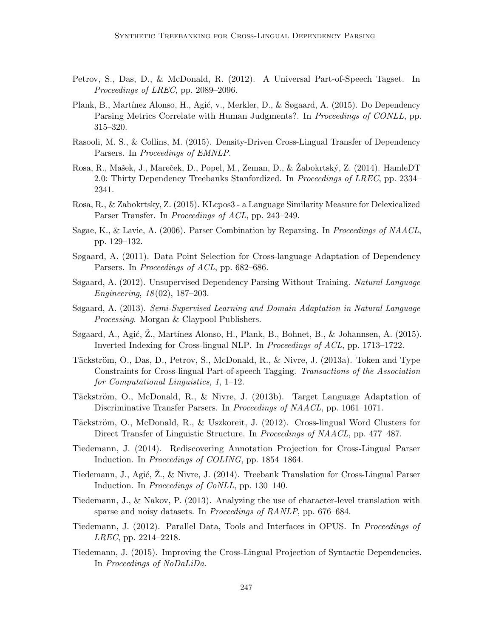- Petrov, S., Das, D., & McDonald, R. (2012). A Universal Part-of-Speech Tagset. In Proceedings of LREC, pp. 2089–2096.
- Plank, B., Martínez Alonso, H., Agić, v., Merkler, D., & Søgaard, A. (2015). Do Dependency Parsing Metrics Correlate with Human Judgments?. In *Proceedings of CONLL*, pp. 315–320.
- Rasooli, M. S., & Collins, M. (2015). Density-Driven Cross-Lingual Transfer of Dependency Parsers. In Proceedings of EMNLP.
- Rosa, R., Mašek, J., Mareček, D., Popel, M., Zeman, D., & Žabokrtský, Z. (2014). HamleDT 2.0: Thirty Dependency Treebanks Stanfordized. In Proceedings of LREC, pp. 2334– 2341.
- Rosa, R., & Zabokrtsky, Z. (2015). KLcpos3 a Language Similarity Measure for Delexicalized Parser Transfer. In *Proceedings of ACL*, pp. 243–249.
- Sagae, K., & Lavie, A. (2006). Parser Combination by Reparsing. In Proceedings of NAACL, pp. 129–132.
- Søgaard, A. (2011). Data Point Selection for Cross-language Adaptation of Dependency Parsers. In *Proceedings of ACL*, pp. 682–686.
- Søgaard, A. (2012). Unsupervised Dependency Parsing Without Training. Natural Language Engineering, 18 (02), 187–203.
- Søgaard, A. (2013). Semi-Supervised Learning and Domain Adaptation in Natural Language Processing. Morgan & Claypool Publishers.
- Søgaard, A., Agić, Z., Martínez Alonso, H., Plank, B., Bohnet, B., & Johannsen, A. (2015). Inverted Indexing for Cross-lingual NLP. In Proceedings of ACL, pp. 1713–1722.
- Täckström, O., Das, D., Petrov, S., McDonald, R., & Nivre, J. (2013a). Token and Type Constraints for Cross-lingual Part-of-speech Tagging. Transactions of the Association for Computational Linguistics, 1, 1–12.
- Täckström, O., McDonald, R., & Nivre, J. (2013b). Target Language Adaptation of Discriminative Transfer Parsers. In Proceedings of NAACL, pp. 1061–1071.
- Täckström, O., McDonald, R., & Uszkoreit, J. (2012). Cross-lingual Word Clusters for Direct Transfer of Linguistic Structure. In Proceedings of NAACL, pp. 477–487.
- Tiedemann, J. (2014). Rediscovering Annotation Projection for Cross-Lingual Parser Induction. In Proceedings of COLING, pp. 1854–1864.
- Tiedemann, J., Agić,  $\mathbb{Z}$ ., & Nivre, J. (2014). Treebank Translation for Cross-Lingual Parser Induction. In Proceedings of CoNLL, pp. 130–140.
- Tiedemann, J., & Nakov, P. (2013). Analyzing the use of character-level translation with sparse and noisy datasets. In Proceedings of RANLP, pp. 676–684.
- Tiedemann, J. (2012). Parallel Data, Tools and Interfaces in OPUS. In Proceedings of LREC, pp. 2214–2218.
- Tiedemann, J. (2015). Improving the Cross-Lingual Projection of Syntactic Dependencies. In Proceedings of NoDaLiDa.